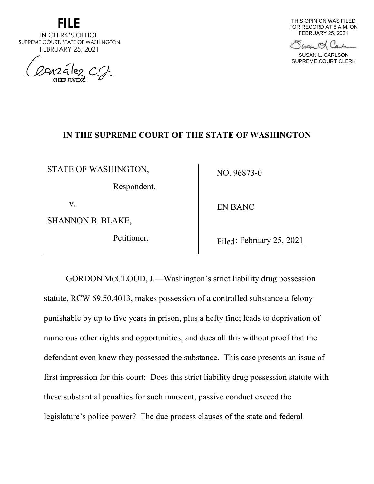

IN CLERK'S OFFICE SUPREME COURT, STATE OF WASHINGTON FEBRUARY 25, 2021

 $arakez$ ,  $c$ .  $2.$ 

THIS OPINION WAS FILED FOR RECORD AT 8 A.M. ON FEBRUARY 25, 2021

Show & Carl

SUSAN L. CARLSON SUPREME COURT CLERK

# **IN THE SUPREME COURT OF THE STATE OF WASHINGTON**

STATE OF WASHINGTON,

Respondent,

v.

SHANNON B. BLAKE,

Petitioner.

NO. 96873-0

EN BANC

Filed: February 25, 2021

GORDON MCCLOUD, J.—Washington's strict liability drug possession statute, RCW 69.50.4013, makes possession of a controlled substance a felony punishable by up to five years in prison, plus a hefty fine; leads to deprivation of numerous other rights and opportunities; and does all this without proof that the defendant even knew they possessed the substance. This case presents an issue of first impression for this court: Does this strict liability drug possession statute with these substantial penalties for such innocent, passive conduct exceed the legislature's police power? The due process clauses of the state and federal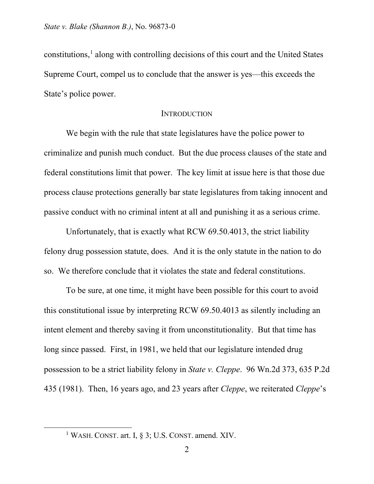constitutions,<sup>[1](#page-1-0)</sup> along with controlling decisions of this court and the United States Supreme Court, compel us to conclude that the answer is yes—this exceeds the State's police power.

#### **INTRODUCTION**

We begin with the rule that state legislatures have the police power to criminalize and punish much conduct. But the due process clauses of the state and federal constitutions limit that power. The key limit at issue here is that those due process clause protections generally bar state legislatures from taking innocent and passive conduct with no criminal intent at all and punishing it as a serious crime.

Unfortunately, that is exactly what RCW 69.50.4013, the strict liability felony drug possession statute, does. And it is the only statute in the nation to do so. We therefore conclude that it violates the state and federal constitutions.

To be sure, at one time, it might have been possible for this court to avoid this constitutional issue by interpreting RCW 69.50.4013 as silently including an intent element and thereby saving it from unconstitutionality. But that time has long since passed. First, in 1981, we held that our legislature intended drug possession to be a strict liability felony in *State v. Cleppe*. 96 Wn.2d 373, 635 P.2d 435 (1981). Then, 16 years ago, and 23 years after *Cleppe*, we reiterated *Cleppe*'s

<span id="page-1-0"></span><sup>&</sup>lt;sup>1</sup> WASH. CONST. art. I, § 3; U.S. CONST. amend. XIV.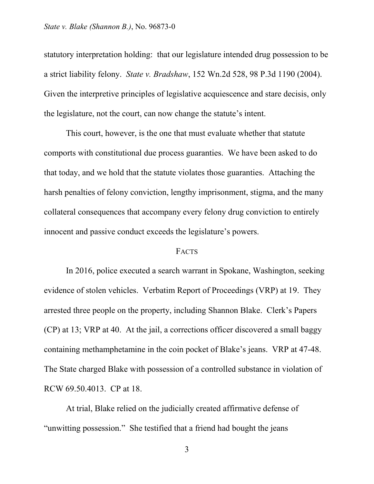statutory interpretation holding: that our legislature intended drug possession to be a strict liability felony. *State v. Bradshaw*, 152 Wn.2d 528, 98 P.3d 1190 (2004). Given the interpretive principles of legislative acquiescence and stare decisis, only the legislature, not the court, can now change the statute's intent.

This court, however, is the one that must evaluate whether that statute comports with constitutional due process guaranties. We have been asked to do that today, and we hold that the statute violates those guaranties. Attaching the harsh penalties of felony conviction, lengthy imprisonment, stigma, and the many collateral consequences that accompany every felony drug conviction to entirely innocent and passive conduct exceeds the legislature's powers.

#### FACTS

In 2016, police executed a search warrant in Spokane, Washington, seeking evidence of stolen vehicles. Verbatim Report of Proceedings (VRP) at 19. They arrested three people on the property, including Shannon Blake. Clerk's Papers (CP) at 13; VRP at 40. At the jail, a corrections officer discovered a small baggy containing methamphetamine in the coin pocket of Blake's jeans. VRP at 47-48. The State charged Blake with possession of a controlled substance in violation of RCW 69.50.4013. CP at 18.

At trial, Blake relied on the judicially created affirmative defense of "unwitting possession." She testified that a friend had bought the jeans

3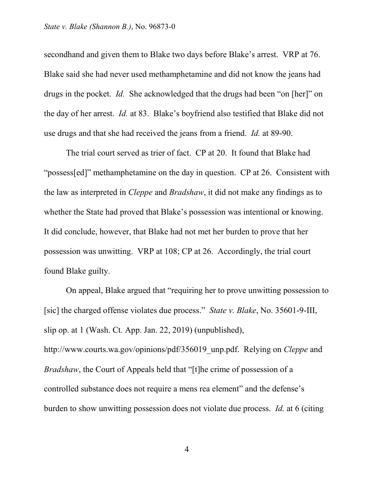secondhand and given them to Blake two days before Blake's arrest. VRP at 76. Blake said she had never used methamphetamine and did not know the jeans had drugs in the pocket. *Id.* She acknowledged that the drugs had been "on [her]" on the day of her arrest. *Id.* at 83. Blake's boyfriend also testified that Blake did not use drugs and that she had received the jeans from a friend. *Id.* at 89-90.

The trial court served as trier of fact. CP at 20. It found that Blake had "possess[ed]" methamphetamine on the day in question. CP at 26. Consistent with the law as interpreted in *Cleppe* and *Bradshaw*, it did not make any findings as to whether the State had proved that Blake's possession was intentional or knowing. It did conclude, however, that Blake had not met her burden to prove that her possession was unwitting. VRP at 108; CP at 26. Accordingly, the trial court found Blake guilty.

On appeal, Blake argued that "requiring her to prove unwitting possession to [sic] the charged offense violates due process." *State v. Blake*, No. 35601-9-III, slip op. at 1 (Wash. Ct. App. Jan. 22, 2019) (unpublished), http://www.courts.wa.gov/opinions/pdf/356019\_unp.pdf. Relying on *Cleppe* and *Bradshaw*, the Court of Appeals held that "[t]he crime of possession of a controlled substance does not require a mens rea element" and the defense's burden to show unwitting possession does not violate due process. *Id.* at 6 (citing

4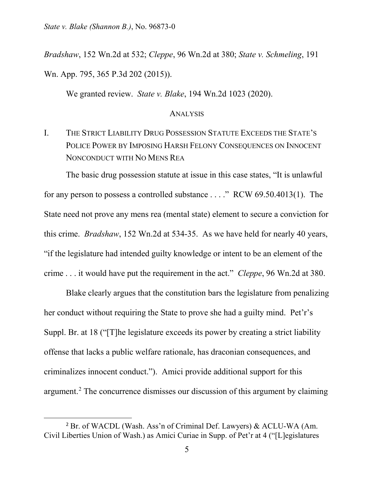*State v. Blake (Shannon B.)*, No. 96873-0

*Bradshaw*, 152 Wn.2d at 532; *Cleppe*, 96 Wn.2d at 380; *State v. Schmeling*, 191 Wn. App. 795, 365 P.3d 202 (2015)).

We granted review. *State v. Blake*, 194 Wn.2d 1023 (2020).

#### ANALYSIS

I. THE STRICT LIABILITY DRUG POSSESSION STATUTE EXCEEDS THE STATE'S POLICE POWER BY IMPOSING HARSH FELONY CONSEQUENCES ON INNOCENT NONCONDUCT WITH NO MENS REA

The basic drug possession statute at issue in this case states, "It is unlawful for any person to possess a controlled substance . . . ." RCW 69.50.4013(1). The State need not prove any mens rea (mental state) element to secure a conviction for this crime. *Bradshaw*, 152 Wn.2d at 534-35. As we have held for nearly 40 years, "if the legislature had intended guilty knowledge or intent to be an element of the crime . . . it would have put the requirement in the act." *Cleppe*, 96 Wn.2d at 380.

Blake clearly argues that the constitution bars the legislature from penalizing her conduct without requiring the State to prove she had a guilty mind. Pet'r's Suppl. Br. at 18 ("[T]he legislature exceeds its power by creating a strict liability offense that lacks a public welfare rationale, has draconian consequences, and criminalizes innocent conduct."). Amici provide additional support for this argument.[2](#page-4-0) The concurrence dismisses our discussion of this argument by claiming

<span id="page-4-0"></span><sup>2</sup> Br. of WACDL (Wash. Ass'n of Criminal Def. Lawyers) & ACLU-WA (Am. Civil Liberties Union of Wash.) as Amici Curiae in Supp. of Pet'r at 4 ("[L]egislatures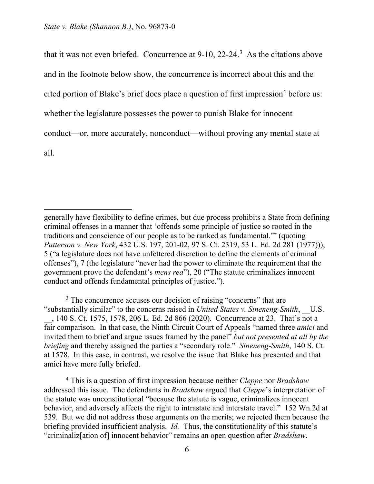$\overline{a}$ 

that it was not even briefed. Concurrence at  $9-10$ ,  $22-24$ .<sup>[3](#page-5-0)</sup> As the citations above and in the footnote below show, the concurrence is incorrect about this and the cited portion of Blake's brief does place a question of first impression<sup>[4](#page-5-1)</sup> before us: whether the legislature possesses the power to punish Blake for innocent conduct—or, more accurately, nonconduct—without proving any mental state at all.

<span id="page-5-0"></span><sup>3</sup> The concurrence accuses our decision of raising "concerns" that are "substantially similar" to the concerns raised in *United States v. Sineneng-Smith*, \_\_U.S. \_\_, 140 S. Ct. 1575, 1578, 206 L. Ed. 2d 866 (2020). Concurrence at 23. That's not a fair comparison. In that case, the Ninth Circuit Court of Appeals "named three *amici* and invited them to brief and argue issues framed by the panel" *but not presented at all by the briefing* and thereby assigned the parties a "secondary role." *Sineneng-Smith*, 140 S. Ct. at 1578. In this case, in contrast, we resolve the issue that Blake has presented and that amici have more fully briefed.

<span id="page-5-1"></span><sup>4</sup> This is a question of first impression because neither *Cleppe* nor *Bradshaw* addressed this issue. The defendants in *Bradshaw* argued that *Cleppe*'s interpretation of the statute was unconstitutional "because the statute is vague, criminalizes innocent behavior, and adversely affects the right to intrastate and interstate travel." 152 Wn.2d at 539. But we did not address those arguments on the merits; we rejected them because the briefing provided insufficient analysis. *Id.* Thus, the constitutionality of this statute's "criminaliz[ation of] innocent behavior" remains an open question after *Bradshaw*.

generally have flexibility to define crimes, but due process prohibits a State from defining criminal offenses in a manner that 'offends some principle of justice so rooted in the traditions and conscience of our people as to be ranked as fundamental.'" (quoting *Patterson v. New York*, 432 U.S. 197, 201-02, 97 S. Ct. 2319, 53 L. Ed. 2d 281 (1977))), 5 ("a legislature does not have unfettered discretion to define the elements of criminal offenses"), 7 (the legislature "never had the power to eliminate the requirement that the government prove the defendant's *mens rea*"), 20 ("The statute criminalizes innocent conduct and offends fundamental principles of justice.").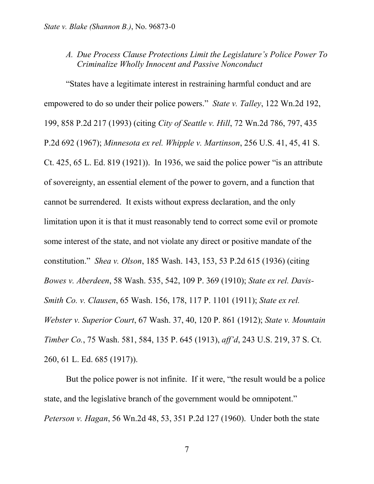*A. Due Process Clause Protections Limit the Legislature's Police Power To Criminalize Wholly Innocent and Passive Nonconduct*

"States have a legitimate interest in restraining harmful conduct and are empowered to do so under their police powers." *State v. Talley*, 122 Wn.2d 192, 199, 858 P.2d 217 (1993) (citing *City of Seattle v. Hill*, 72 Wn.2d 786, 797, 435 P.2d 692 (1967); *Minnesota ex rel. Whipple v. Martinson*, 256 U.S. 41, 45, 41 S. Ct. 425, 65 L. Ed. 819 (1921)).In 1936, we said the police power "is an attribute of sovereignty, an essential element of the power to govern, and a function that cannot be surrendered. It exists without express declaration, and the only limitation upon it is that it must reasonably tend to correct some evil or promote some interest of the state, and not violate any direct or positive mandate of the constitution." *Shea v. Olson*, 185 Wash. 143, 153, 53 P.2d 615 (1936) (citing *Bowes v. Aberdeen*, 58 Wash. 535, 542, 109 P. 369 (1910); *State ex rel. Davis-Smith Co. v. Clausen*, 65 Wash. 156, 178, 117 P. 1101 (1911); *State ex rel. Webster v. Superior Court*, 67 Wash. 37, 40, 120 P. 861 (1912); *State v. Mountain Timber Co.*, 75 Wash. 581, 584, 135 P. 645 (1913), *aff'd*, 243 U.S. 219, 37 S. Ct. 260, 61 L. Ed. 685 (1917)).

But the police power is not infinite. If it were, "the result would be a police state, and the legislative branch of the government would be omnipotent." *Peterson v. Hagan*, 56 Wn.2d 48, 53, 351 P.2d 127 (1960).Under both the state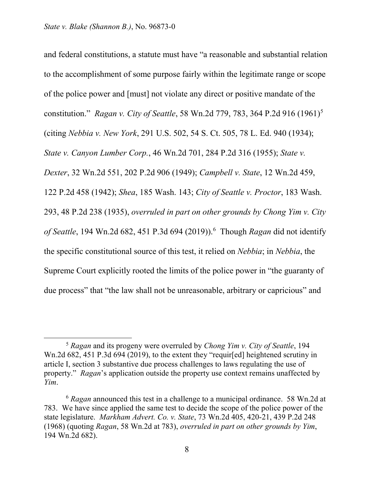and federal constitutions, a statute must have "a reasonable and substantial relation to the accomplishment of some purpose fairly within the legitimate range or scope of the police power and [must] not violate any direct or positive mandate of the constitution." *Ragan v. City of Seattle*, 58 Wn.2d 779, 783, 364 P.2d 916 (1961)[5](#page-7-0) (citing *Nebbia v. New York*, 291 U.S. 502, 54 S. Ct. 505, 78 L. Ed. 940 (1934); *State v. Canyon Lumber Corp.*, 46 Wn.2d 701, 284 P.2d 316 (1955); *State v. Dexter*, 32 Wn.2d 551, 202 P.2d 906 (1949); *Campbell v. State*, 12 Wn.2d 459, 122 P.2d 458 (1942); *Shea*, 185 Wash. 143; *City of Seattle v. Proctor*, 183 Wash. 293, 48 P.2d 238 (1935), *overruled in part on other grounds by Chong Yim v. City of Seattle*, 194 Wn.2d 682, 451 P.3d 694 (2019)).[6](#page-7-1) Though *Ragan* did not identify the specific constitutional source of this test, it relied on *Nebbia*; in *Nebbia*, the Supreme Court explicitly rooted the limits of the police power in "the guaranty of due process" that "the law shall not be unreasonable, arbitrary or capricious" and

<span id="page-7-0"></span><sup>5</sup> *Ragan* and its progeny were overruled by *Chong Yim v. City of Seattle*, 194 Wn.2d 682, 451 P.3d 694 (2019), to the extent they "requir[ed] heightened scrutiny in article I, section 3 substantive due process challenges to laws regulating the use of property." *Ragan*'s application outside the property use context remains unaffected by *Yim*.

<span id="page-7-1"></span><sup>6</sup> *Ragan* announced this test in a challenge to a municipal ordinance. 58 Wn.2d at 783. We have since applied the same test to decide the scope of the police power of the state legislature. *Markham Advert. Co. v. State*, 73 Wn.2d 405, 420-21, 439 P.2d 248 (1968) (quoting *Ragan*, 58 Wn.2d at 783), *overruled in part on other grounds by Yim*, 194 Wn.2d 682).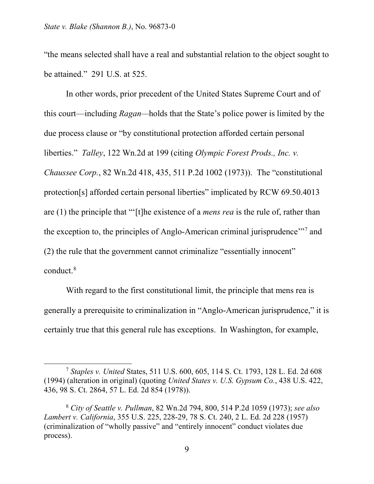$\overline{a}$ 

"the means selected shall have a real and substantial relation to the object sought to be attained." 291 U.S. at 525.

In other words, prior precedent of the United States Supreme Court and of this court—including *Ragan—*holds that the State's police power is limited by the due process clause or "by constitutional protection afforded certain personal liberties." *Talley*, 122 Wn.2d at 199 (citing *Olympic Forest Prods., Inc. v. Chaussee Corp.*, 82 Wn.2d 418, 435, 511 P.2d 1002 (1973)). The "constitutional protection[s] afforded certain personal liberties" implicated by RCW 69.50.4013 are (1) the principle that "'[t]he existence of a *mens rea* is the rule of, rather than the exception to, the principles of Anglo-American criminal jurisprudence"<sup>[7](#page-8-0)</sup> and (2) the rule that the government cannot criminalize "essentially innocent" conduct. [8](#page-8-1)

With regard to the first constitutional limit, the principle that mens rea is generally a prerequisite to criminalization in "Anglo-American jurisprudence," it is certainly true that this general rule has exceptions. In Washington, for example,

<span id="page-8-0"></span><sup>7</sup> *Staples v. United* States, 511 U.S. 600, 605, 114 S. Ct. 1793, 128 L. Ed. 2d 608 (1994) (alteration in original) (quoting *United States v. U.S. Gypsum Co.*, 438 U.S. 422, 436, 98 S. Ct. 2864, 57 L. Ed. 2d 854 (1978)).

<span id="page-8-1"></span><sup>8</sup> *City of Seattle v. Pullman*, 82 Wn.2d 794, 800, 514 P.2d 1059 (1973); *see also Lambert v. California*, 355 U.S. 225, 228-29, 78 S. Ct. 240, 2 L. Ed. 2d 228 (1957) (criminalization of "wholly passive" and "entirely innocent" conduct violates due process).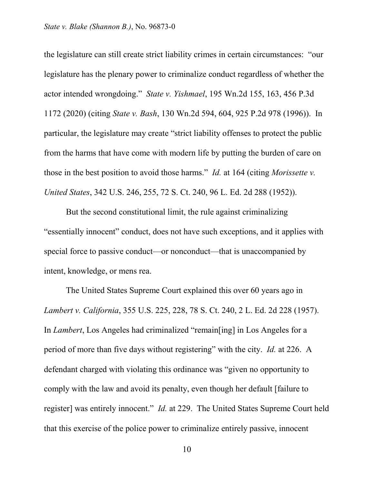the legislature can still create strict liability crimes in certain circumstances: "our legislature has the plenary power to criminalize conduct regardless of whether the actor intended wrongdoing." *State v. Yishmael*, 195 Wn.2d 155, 163, 456 P.3d 1172 (2020) (citing *State v. Bash*, 130 Wn.2d 594, 604, 925 P.2d 978 (1996)). In particular, the legislature may create "strict liability offenses to protect the public from the harms that have come with modern life by putting the burden of care on those in the best position to avoid those harms." *Id.* at 164 (citing *Morissette v. United States*, 342 U.S. 246, 255, 72 S. Ct. 240, 96 L. Ed. 2d 288 (1952)).

But the second constitutional limit, the rule against criminalizing "essentially innocent" conduct, does not have such exceptions, and it applies with special force to passive conduct—or nonconduct—that is unaccompanied by intent, knowledge, or mens rea.

The United States Supreme Court explained this over 60 years ago in *Lambert v. California*, 355 U.S. 225, 228, 78 S. Ct. 240, 2 L. Ed. 2d 228 (1957). In *Lambert*, Los Angeles had criminalized "remain[ing] in Los Angeles for a period of more than five days without registering" with the city. *Id.* at 226. A defendant charged with violating this ordinance was "given no opportunity to comply with the law and avoid its penalty, even though her default [failure to register] was entirely innocent." *Id.* at 229. The United States Supreme Court held that this exercise of the police power to criminalize entirely passive, innocent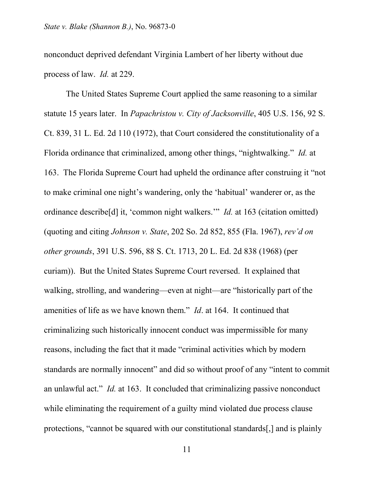nonconduct deprived defendant Virginia Lambert of her liberty without due process of law. *Id.* at 229.

The United States Supreme Court applied the same reasoning to a similar statute 15 years later. In *Papachristou v. City of Jacksonville*, 405 U.S. 156, 92 S. Ct. 839, 31 L. Ed. 2d 110 (1972), that Court considered the constitutionality of a Florida ordinance that criminalized, among other things, "nightwalking." *Id.* at 163. The Florida Supreme Court had upheld the ordinance after construing it "not to make criminal one night's wandering, only the 'habitual' wanderer or, as the ordinance describe[d] it, 'common night walkers.'" *Id.* at 163 (citation omitted) (quoting and citing *Johnson v. State*, 202 So. 2d 852, 855 (Fla. 1967), *rev'd on other grounds*, 391 U.S. 596, 88 S. Ct. 1713, 20 L. Ed. 2d 838 (1968) (per curiam)). But the United States Supreme Court reversed. It explained that walking, strolling, and wandering—even at night—are "historically part of the amenities of life as we have known them." *Id*. at 164. It continued that criminalizing such historically innocent conduct was impermissible for many reasons, including the fact that it made "criminal activities which by modern standards are normally innocent" and did so without proof of any "intent to commit an unlawful act." *Id.* at 163. It concluded that criminalizing passive nonconduct while eliminating the requirement of a guilty mind violated due process clause protections, "cannot be squared with our constitutional standards[,] and is plainly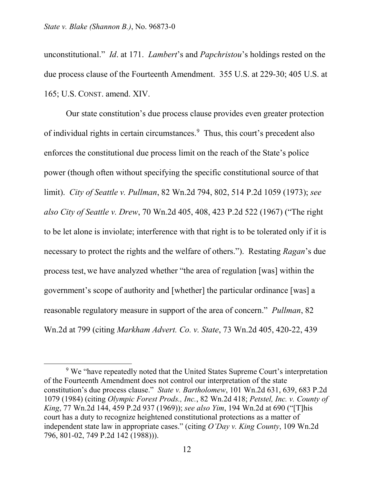$\overline{a}$ 

unconstitutional." *Id*. at 171. *Lambert*'s and *Papchristou*'s holdings rested on the due process clause of the Fourteenth Amendment. 355 U.S. at 229-30; 405 U.S. at 165; U.S. CONST. amend. XIV.

Our state constitution's due process clause provides even greater protection of individual rights in certain circumstances.<sup>[9](#page-11-0)</sup> Thus, this court's precedent also enforces the constitutional due process limit on the reach of the State's police power (though often without specifying the specific constitutional source of that limit). *City of Seattle v. Pullman*, 82 Wn.2d 794, 802, 514 P.2d 1059 (1973); *see also City of Seattle v. Drew*, 70 Wn.2d 405, 408, 423 P.2d 522 (1967) ("The right to be let alone is inviolate; interference with that right is to be tolerated only if it is necessary to protect the rights and the welfare of others.").Restating *Ragan*'s due process test, we have analyzed whether "the area of regulation [was] within the government's scope of authority and [whether] the particular ordinance [was] a reasonable regulatory measure in support of the area of concern." *Pullman*, 82 Wn.2d at 799 (citing *Markham Advert. Co. v. State*, 73 Wn.2d 405, 420-22, 439

<span id="page-11-0"></span><sup>&</sup>lt;sup>9</sup> We "have repeatedly noted that the United States Supreme Court's interpretation of the Fourteenth Amendment does not control our interpretation of the state constitution's due process clause." *State v. Bartholomew*, 101 Wn.2d 631, 639, 683 P.2d 1079 (1984) (citing *Olympic Forest Prods., Inc.*, 82 Wn.2d 418; *Petstel, Inc. v. County of King*, 77 Wn.2d 144, 459 P.2d 937 (1969)); *see also Yim*, 194 Wn.2d at 690 ("[T]his court has a duty to recognize heightened constitutional protections as a matter of independent state law in appropriate cases." (citing *O'Day v. King County*, 109 Wn.2d 796, 801-02, 749 P.2d 142 (1988))).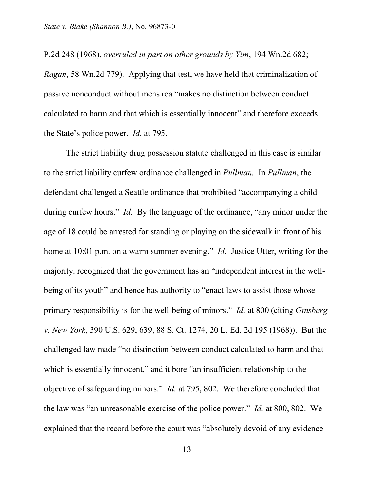P.2d 248 (1968), *overruled in part on other grounds by Yim*, 194 Wn.2d 682; *Ragan*, 58 Wn.2d 779). Applying that test, we have held that criminalization of passive nonconduct without mens rea "makes no distinction between conduct calculated to harm and that which is essentially innocent" and therefore exceeds the State's police power. *Id.* at 795.

The strict liability drug possession statute challenged in this case is similar to the strict liability curfew ordinance challenged in *Pullman.* In *Pullman*, the defendant challenged a Seattle ordinance that prohibited "accompanying a child during curfew hours." *Id.* By the language of the ordinance, "any minor under the age of 18 could be arrested for standing or playing on the sidewalk in front of his home at 10:01 p.m. on a warm summer evening." *Id.* Justice Utter, writing for the majority, recognized that the government has an "independent interest in the wellbeing of its youth" and hence has authority to "enact laws to assist those whose primary responsibility is for the well-being of minors." *Id.* at 800 (citing *Ginsberg v. New York*, 390 U.S. 629, 639, 88 S. Ct. 1274, 20 L. Ed. 2d 195 (1968)). But the challenged law made "no distinction between conduct calculated to harm and that which is essentially innocent," and it bore "an insufficient relationship to the objective of safeguarding minors." *Id.* at 795, 802. We therefore concluded that the law was "an unreasonable exercise of the police power." *Id.* at 800, 802. We explained that the record before the court was "absolutely devoid of any evidence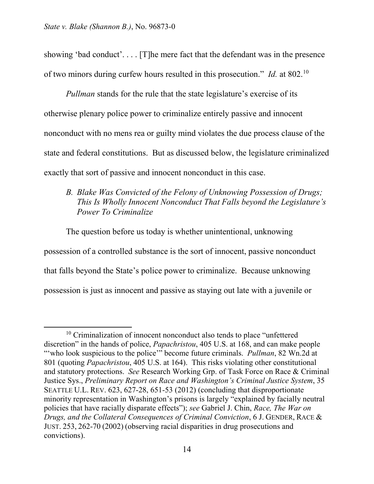showing 'bad conduct'. . . . [T]he mere fact that the defendant was in the presence of two minors during curfew hours resulted in this prosecution." *Id.* at 802.[10](#page-13-0) 

*Pullman* stands for the rule that the state legislature's exercise of its otherwise plenary police power to criminalize entirely passive and innocent nonconduct with no mens rea or guilty mind violates the due process clause of the state and federal constitutions. But as discussed below, the legislature criminalized exactly that sort of passive and innocent nonconduct in this case.

## *B. Blake Was Convicted of the Felony of Unknowing Possession of Drugs; This Is Wholly Innocent Nonconduct That Falls beyond the Legislature's Power To Criminalize*

The question before us today is whether unintentional, unknowing possession of a controlled substance is the sort of innocent, passive nonconduct that falls beyond the State's police power to criminalize. Because unknowing possession is just as innocent and passive as staying out late with a juvenile or

<span id="page-13-0"></span> $\overline{a}$ <sup>10</sup> Criminalization of innocent nonconduct also tends to place "unfettered" discretion" in the hands of police, *Papachristou*, 405 U.S. at 168, and can make people "'who look suspicious to the police'" become future criminals. *Pullman*, 82 Wn.2d at 801 (quoting *Papachristou*, 405 U.S. at 164). This risks violating other constitutional and statutory protections. *See* Research Working Grp. of Task Force on Race & Criminal Justice Sys., *Preliminary Report on Race and Washington's Criminal Justice System*, 35 SEATTLE U.L. REV. 623, 627-28, 651-53 (2012) (concluding that disproportionate minority representation in Washington's prisons is largely "explained by facially neutral policies that have racially disparate effects"); *see* Gabriel J. Chin, *Race, The War on Drugs, and the Collateral Consequences of Criminal Conviction*, 6 J. GENDER, RACE & JUST. 253, 262-70 (2002) (observing racial disparities in drug prosecutions and convictions).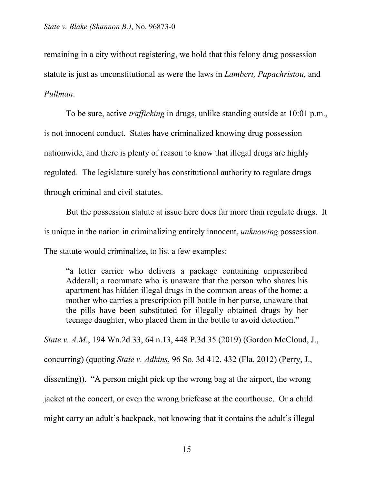remaining in a city without registering, we hold that this felony drug possession statute is just as unconstitutional as were the laws in *Lambert, Papachristou,* and *Pullman*.

To be sure, active *trafficking* in drugs, unlike standing outside at 10:01 p.m., is not innocent conduct. States have criminalized knowing drug possession nationwide, and there is plenty of reason to know that illegal drugs are highly regulated. The legislature surely has constitutional authority to regulate drugs through criminal and civil statutes.

But the possession statute at issue here does far more than regulate drugs. It is unique in the nation in criminalizing entirely innocent, *unknowing* possession. The statute would criminalize, to list a few examples:

"a letter carrier who delivers a package containing unprescribed Adderall; a roommate who is unaware that the person who shares his apartment has hidden illegal drugs in the common areas of the home; a mother who carries a prescription pill bottle in her purse, unaware that the pills have been substituted for illegally obtained drugs by her teenage daughter, who placed them in the bottle to avoid detection."

*State v. A.M.*, 194 Wn.2d 33, 64 n.13, 448 P.3d 35 (2019) (Gordon McCloud, J., concurring) (quoting *State v. Adkins*, 96 So. 3d 412, 432 (Fla. 2012) (Perry, J., dissenting)). "A person might pick up the wrong bag at the airport, the wrong jacket at the concert, or even the wrong briefcase at the courthouse. Or a child might carry an adult's backpack, not knowing that it contains the adult's illegal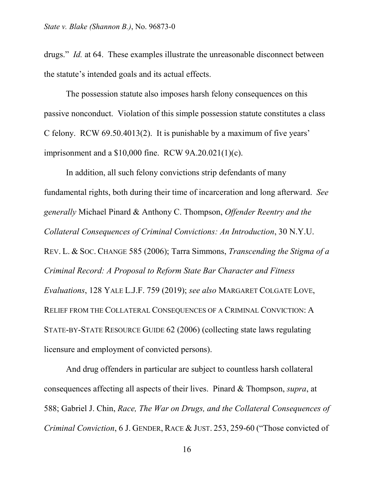drugs." *Id.* at 64. These examples illustrate the unreasonable disconnect between the statute's intended goals and its actual effects.

The possession statute also imposes harsh felony consequences on this passive nonconduct. Violation of this simple possession statute constitutes a class C felony. RCW 69.50.4013(2). It is punishable by a maximum of five years' imprisonment and a \$10,000 fine. RCW 9A.20.021(1)(c).

In addition, all such felony convictions strip defendants of many fundamental rights, both during their time of incarceration and long afterward. *See generally* Michael Pinard & Anthony C. Thompson, *Offender Reentry and the Collateral Consequences of Criminal Convictions: An Introduction*, 30 N.Y.U. REV. L. & SOC. CHANGE 585 (2006); Tarra Simmons, *Transcending the Stigma of a Criminal Record: A Proposal to Reform State Bar Character and Fitness Evaluations*, 128 YALE L.J.F. 759 (2019); *see also* MARGARET COLGATE LOVE, RELIEF FROM THE COLLATERAL CONSEQUENCES OF A CRIMINAL CONVICTION: A STATE-BY-STATE RESOURCE GUIDE 62 (2006) (collecting state laws regulating licensure and employment of convicted persons).

And drug offenders in particular are subject to countless harsh collateral consequences affecting all aspects of their lives. Pinard & Thompson, *supra*, at 588; Gabriel J. Chin, *Race, The War on Drugs, and the Collateral Consequences of Criminal Conviction*, 6 J. GENDER, RACE & JUST. 253, 259-60 ("Those convicted of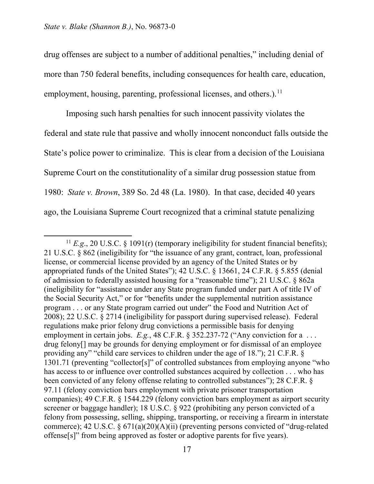$\overline{a}$ 

drug offenses are subject to a number of additional penalties," including denial of more than 750 federal benefits, including consequences for health care, education, employment, housing, parenting, professional licenses, and others.).<sup>[11](#page-16-0)</sup>

Imposing such harsh penalties for such innocent passivity violates the federal and state rule that passive and wholly innocent nonconduct falls outside the State's police power to criminalize. This is clear from a decision of the Louisiana Supreme Court on the constitutionality of a similar drug possession statue from 1980: *State v. Brown*, 389 So. 2d 48 (La. 1980). In that case, decided 40 years ago, the Louisiana Supreme Court recognized that a criminal statute penalizing

<span id="page-16-0"></span><sup>&</sup>lt;sup>11</sup>  $E.g., 20$  U.S.C. § 1091(r) (temporary ineligibility for student financial benefits); 21 U.S.C. § 862 (ineligibility for "the issuance of any grant, contract, loan, professional license, or commercial license provided by an agency of the United States or by appropriated funds of the United States"); 42 U.S.C. § 13661, 24 C.F.R. § 5.855 (denial of admission to federally assisted housing for a "reasonable time"); 21 U.S.C. § 862a (ineligibility for "assistance under any State program funded under part A of title IV of the Social Security Act," or for "benefits under the supplemental nutrition assistance program . . . or any State program carried out under" the Food and Nutrition Act of 2008); 22 U.S.C. § 2714 (ineligibility for passport during supervised release). Federal regulations make prior felony drug convictions a permissible basis for denying employment in certain jobs. *E.g.*, 48 C.F.R. § 352.237-72 ("Any conviction for a ... drug felony[] may be grounds for denying employment or for dismissal of an employee providing any" "child care services to children under the age of 18."); 21 C.F.R. § 1301.71 (preventing "collector[s]" of controlled substances from employing anyone "who has access to or influence over controlled substances acquired by collection . . . who has been convicted of any felony offense relating to controlled substances"); 28 C.F.R. § 97.11 (felony conviction bars employment with private prisoner transportation companies); 49 C.F.R. § 1544.229 (felony conviction bars employment as airport security screener or baggage handler); 18 U.S.C. § 922 (prohibiting any person convicted of a felony from possessing, selling, shipping, transporting, or receiving a firearm in interstate commerce); 42 U.S.C.  $\S 671(a)(20)(A)(ii)$  (preventing persons convicted of "drug-related offense[s]" from being approved as foster or adoptive parents for five years).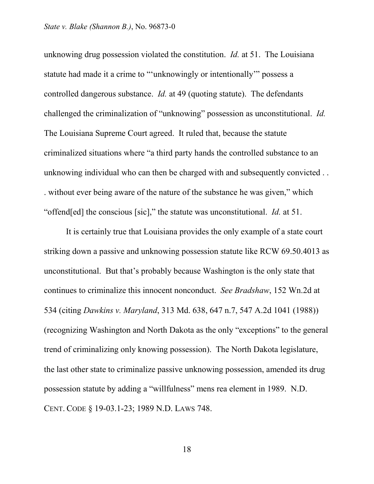unknowing drug possession violated the constitution. *Id.* at 51. The Louisiana statute had made it a crime to "'unknowingly or intentionally'" possess a controlled dangerous substance. *Id.* at 49 (quoting statute). The defendants challenged the criminalization of "unknowing" possession as unconstitutional. *Id.*  The Louisiana Supreme Court agreed. It ruled that, because the statute criminalized situations where "a third party hands the controlled substance to an unknowing individual who can then be charged with and subsequently convicted . . . without ever being aware of the nature of the substance he was given," which "offend[ed] the conscious [sic]," the statute was unconstitutional. *Id.* at 51.

It is certainly true that Louisiana provides the only example of a state court striking down a passive and unknowing possession statute like RCW 69.50.4013 as unconstitutional. But that's probably because Washington is the only state that continues to criminalize this innocent nonconduct. *See Bradshaw*, 152 Wn.2d at 534 (citing *Dawkins v. Maryland*, 313 Md. 638, 647 n.7, 547 A.2d 1041 (1988)) (recognizing Washington and North Dakota as the only "exceptions" to the general trend of criminalizing only knowing possession). The North Dakota legislature, the last other state to criminalize passive unknowing possession, amended its drug possession statute by adding a "willfulness" mens rea element in 1989. N.D. CENT. CODE § 19-03.1-23; 1989 N.D. LAWS 748.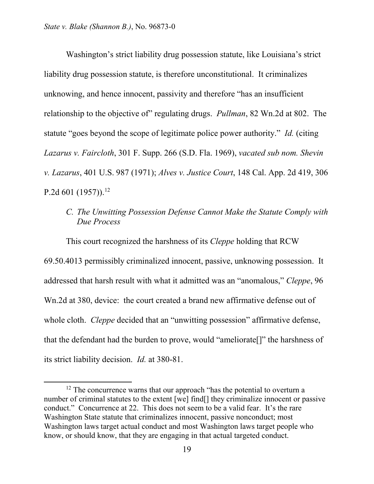$\overline{a}$ 

Washington's strict liability drug possession statute, like Louisiana's strict liability drug possession statute, is therefore unconstitutional. It criminalizes unknowing, and hence innocent, passivity and therefore "has an insufficient relationship to the objective of" regulating drugs. *Pullman*, 82 Wn.2d at 802. The statute "goes beyond the scope of legitimate police power authority." *Id.* (citing *Lazarus v. Faircloth*, 301 F. Supp. 266 (S.D. Fla. 1969), *vacated sub nom. Shevin v. Lazarus*, 401 U.S. 987 (1971); *Alves v. Justice Court*, 148 Cal. App. 2d 419, 306 P.2d  $601$  (1957)).<sup>[12](#page-18-0)</sup>

*C. The Unwitting Possession Defense Cannot Make the Statute Comply with Due Process*

This court recognized the harshness of its *Cleppe* holding that RCW 69.50.4013 permissibly criminalized innocent, passive, unknowing possession. It addressed that harsh result with what it admitted was an "anomalous," *Cleppe*, 96 Wn.2d at 380, device: the court created a brand new affirmative defense out of whole cloth. *Cleppe* decided that an "unwitting possession" affirmative defense, that the defendant had the burden to prove, would "ameliorate[]" the harshness of its strict liability decision. *Id.* at 380-81.

<span id="page-18-0"></span> $12$  The concurrence warns that our approach "has the potential to overturn a number of criminal statutes to the extent [we] find[] they criminalize innocent or passive conduct." Concurrence at 22. This does not seem to be a valid fear. It's the rare Washington State statute that criminalizes innocent, passive nonconduct; most Washington laws target actual conduct and most Washington laws target people who know, or should know, that they are engaging in that actual targeted conduct.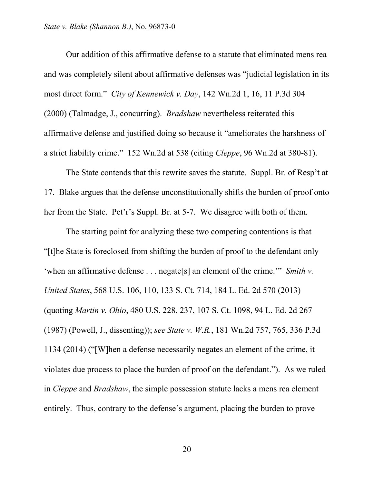Our addition of this affirmative defense to a statute that eliminated mens rea and was completely silent about affirmative defenses was "judicial legislation in its most direct form." *City of Kennewick v. Day*, 142 Wn.2d 1, 16, 11 P.3d 304 (2000) (Talmadge, J., concurring). *Bradshaw* nevertheless reiterated this affirmative defense and justified doing so because it "ameliorates the harshness of a strict liability crime." 152 Wn.2d at 538 (citing *Cleppe*, 96 Wn.2d at 380-81).

The State contends that this rewrite saves the statute. Suppl. Br. of Resp't at 17. Blake argues that the defense unconstitutionally shifts the burden of proof onto her from the State. Pet'r's Suppl. Br. at 5-7. We disagree with both of them.

The starting point for analyzing these two competing contentions is that "[t]he State is foreclosed from shifting the burden of proof to the defendant only 'when an affirmative defense . . . negate[s] an element of the crime.'" *Smith v. United States*, 568 U.S. 106, 110, 133 S. Ct. 714, 184 L. Ed. 2d 570 (2013) (quoting *Martin v. Ohio*, 480 U.S. 228, 237, 107 S. Ct. 1098, 94 L. Ed. 2d 267 (1987) (Powell, J., dissenting)); *see State v. W.R.*, 181 Wn.2d 757, 765, 336 P.3d 1134 (2014) ("[W]hen a defense necessarily negates an element of the crime, it violates due process to place the burden of proof on the defendant."). As we ruled in *Cleppe* and *Bradshaw*, the simple possession statute lacks a mens rea element entirely. Thus, contrary to the defense's argument, placing the burden to prove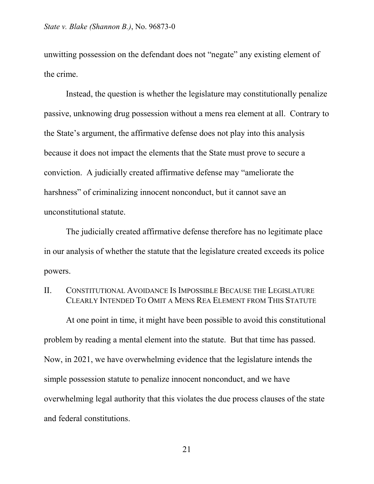unwitting possession on the defendant does not "negate" any existing element of the crime.

Instead, the question is whether the legislature may constitutionally penalize passive, unknowing drug possession without a mens rea element at all. Contrary to the State's argument, the affirmative defense does not play into this analysis because it does not impact the elements that the State must prove to secure a conviction. A judicially created affirmative defense may "ameliorate the harshness" of criminalizing innocent nonconduct, but it cannot save an unconstitutional statute.

The judicially created affirmative defense therefore has no legitimate place in our analysis of whether the statute that the legislature created exceeds its police powers.

### II. CONSTITUTIONAL AVOIDANCE IS IMPOSSIBLE BECAUSE THE LEGISLATURE CLEARLY INTENDED TO OMIT A MENS REA ELEMENT FROM THIS STATUTE

At one point in time, it might have been possible to avoid this constitutional problem by reading a mental element into the statute. But that time has passed. Now, in 2021, we have overwhelming evidence that the legislature intends the simple possession statute to penalize innocent nonconduct, and we have overwhelming legal authority that this violates the due process clauses of the state and federal constitutions.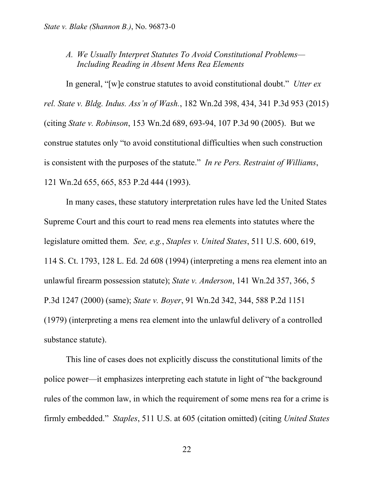## *A. We Usually Interpret Statutes To Avoid Constitutional Problems— Including Reading in Absent Mens Rea Elements*

In general, "[w]e construe statutes to avoid constitutional doubt." *Utter ex rel. State v. Bldg. Indus. Ass'n of Wash.*, 182 Wn.2d 398, 434, 341 P.3d 953 (2015) (citing *State v. Robinson*, 153 Wn.2d 689, 693-94, 107 P.3d 90 (2005). But we construe statutes only "to avoid constitutional difficulties when such construction is consistent with the purposes of the statute." *In re Pers. Restraint of Williams*, 121 Wn.2d 655, 665, 853 P.2d 444 (1993).

In many cases, these statutory interpretation rules have led the United States Supreme Court and this court to read mens rea elements into statutes where the legislature omitted them. *See, e.g.*, *Staples v. United States*, 511 U.S. 600, 619, 114 S. Ct. 1793, 128 L. Ed. 2d 608 (1994) (interpreting a mens rea element into an unlawful firearm possession statute); *State v. Anderson*, 141 Wn.2d 357, 366, 5 P.3d 1247 (2000) (same); *State v. Boyer*, 91 Wn.2d 342, 344, 588 P.2d 1151 (1979) (interpreting a mens rea element into the unlawful delivery of a controlled substance statute).

This line of cases does not explicitly discuss the constitutional limits of the police power—it emphasizes interpreting each statute in light of "the background rules of the common law, in which the requirement of some mens rea for a crime is firmly embedded." *Staples*, 511 U.S. at 605 (citation omitted) (citing *United States*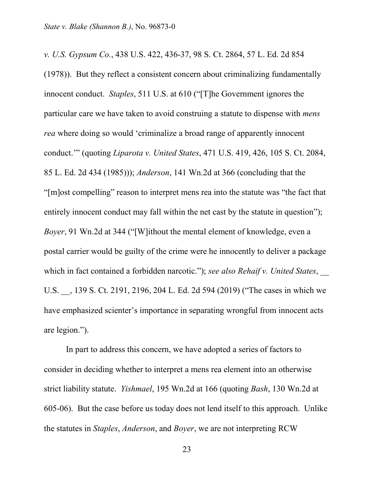*v. U.S. Gypsum Co.*, 438 U.S. 422, 436-37, 98 S. Ct. 2864, 57 L. Ed. 2d 854 (1978)). But they reflect a consistent concern about criminalizing fundamentally innocent conduct. *Staples*, 511 U.S. at 610 ("[T]he Government ignores the particular care we have taken to avoid construing a statute to dispense with *mens rea* where doing so would 'criminalize a broad range of apparently innocent conduct.'" (quoting *Liparota v. United States*, 471 U.S. 419, 426, 105 S. Ct. 2084, 85 L. Ed. 2d 434 (1985))); *Anderson*, 141 Wn.2d at 366 (concluding that the "[m]ost compelling" reason to interpret mens rea into the statute was "the fact that entirely innocent conduct may fall within the net cast by the statute in question"); *Boyer*, 91 Wn.2d at 344 ("[W]ithout the mental element of knowledge, even a postal carrier would be guilty of the crime were he innocently to deliver a package which in fact contained a forbidden narcotic."); *see also Rehaif v. United States*, U.S. \_\_, 139 S. Ct. 2191, 2196, 204 L. Ed. 2d 594 (2019) ("The cases in which we have emphasized scienter's importance in separating wrongful from innocent acts are legion.").

In part to address this concern, we have adopted a series of factors to consider in deciding whether to interpret a mens rea element into an otherwise strict liability statute. *Yishmael*, 195 Wn.2d at 166 (quoting *Bash*, 130 Wn.2d at 605-06). But the case before us today does not lend itself to this approach. Unlike the statutes in *Staples*, *Anderson*, and *Boyer*, we are not interpreting RCW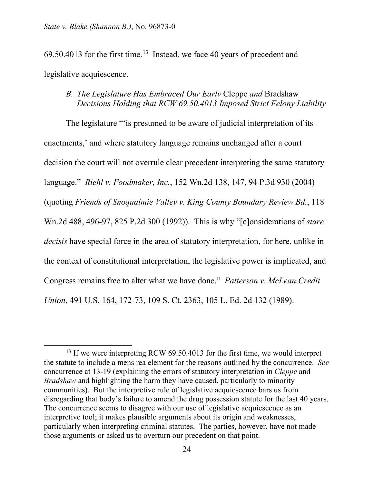$\overline{a}$ 

 $69.50.4013$  $69.50.4013$  for the first time.<sup>13</sup> Instead, we face 40 years of precedent and legislative acquiescence.

### *B. The Legislature Has Embraced Our Early* Cleppe *and* Bradshaw *Decisions Holding that RCW 69.50.4013 Imposed Strict Felony Liability*

The legislature "'is presumed to be aware of judicial interpretation of its enactments,' and where statutory language remains unchanged after a court decision the court will not overrule clear precedent interpreting the same statutory language." *Riehl v. Foodmaker, Inc.*, 152 Wn.2d 138, 147, 94 P.3d 930 (2004) (quoting *Friends of Snoqualmie Valley v. King County Boundary Review Bd.*, 118 Wn.2d 488, 496-97, 825 P.2d 300 (1992)). This is why "[c]onsiderations of *stare decisis* have special force in the area of statutory interpretation, for here, unlike in the context of constitutional interpretation, the legislative power is implicated, and Congress remains free to alter what we have done." *Patterson v. McLean Credit Union*, 491 U.S. 164, 172-73, 109 S. Ct. 2363, 105 L. Ed. 2d 132 (1989).

<span id="page-23-0"></span><sup>&</sup>lt;sup>13</sup> If we were interpreting RCW 69.50.4013 for the first time, we would interpret the statute to include a mens rea element for the reasons outlined by the concurrence. *See* concurrence at 13-19 (explaining the errors of statutory interpretation in *Cleppe* and *Bradshaw* and highlighting the harm they have caused, particularly to minority communities). But the interpretive rule of legislative acquiescence bars us from disregarding that body's failure to amend the drug possession statute for the last 40 years. The concurrence seems to disagree with our use of legislative acquiescence as an interpretive tool; it makes plausible arguments about its origin and weaknesses, particularly when interpreting criminal statutes. The parties, however, have not made those arguments or asked us to overturn our precedent on that point.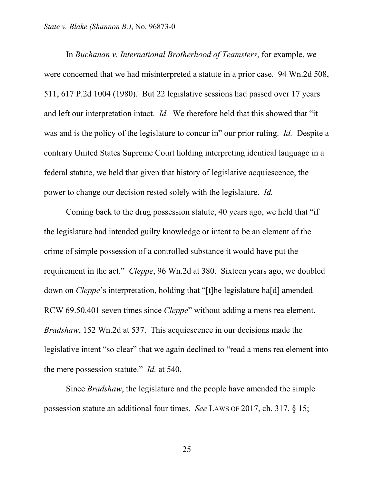In *Buchanan v. International Brotherhood of Teamsters*, for example, we were concerned that we had misinterpreted a statute in a prior case. 94 Wn.2d 508, 511, 617 P.2d 1004 (1980). But 22 legislative sessions had passed over 17 years and left our interpretation intact. *Id.* We therefore held that this showed that "it was and is the policy of the legislature to concur in" our prior ruling. *Id.* Despite a contrary United States Supreme Court holding interpreting identical language in a federal statute, we held that given that history of legislative acquiescence, the power to change our decision rested solely with the legislature. *Id.*

Coming back to the drug possession statute, 40 years ago, we held that "if the legislature had intended guilty knowledge or intent to be an element of the crime of simple possession of a controlled substance it would have put the requirement in the act." *Cleppe*, 96 Wn.2d at 380. Sixteen years ago, we doubled down on *Cleppe*'s interpretation, holding that "[t]he legislature ha[d] amended RCW 69.50.401 seven times since *Cleppe*" without adding a mens rea element. *Bradshaw*, 152 Wn.2d at 537. This acquiescence in our decisions made the legislative intent "so clear" that we again declined to "read a mens rea element into the mere possession statute." *Id.* at 540.

Since *Bradshaw*, the legislature and the people have amended the simple possession statute an additional four times. *See* LAWS OF 2017, ch. 317, § 15;

25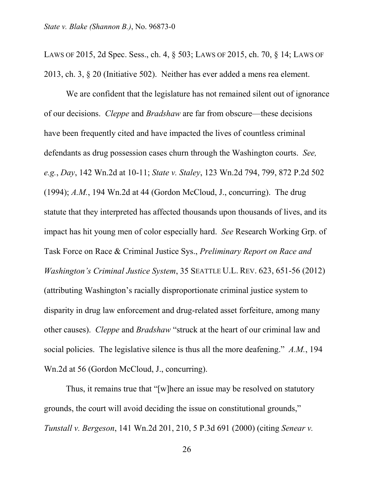LAWS OF 2015, 2d Spec. Sess., ch. 4, § 503; LAWS OF 2015, ch. 70, § 14; LAWS OF 2013, ch. 3, § 20 (Initiative 502). Neither has ever added a mens rea element.

We are confident that the legislature has not remained silent out of ignorance of our decisions. *Cleppe* and *Bradshaw* are far from obscure—these decisions have been frequently cited and have impacted the lives of countless criminal defendants as drug possession cases churn through the Washington courts. *See, e.g.*, *Day*, 142 Wn.2d at 10-11; *State v. Staley*, 123 Wn.2d 794, 799, 872 P.2d 502 (1994); *A.M.*, 194 Wn.2d at 44 (Gordon McCloud, J., concurring). The drug statute that they interpreted has affected thousands upon thousands of lives, and its impact has hit young men of color especially hard. *See* Research Working Grp. of Task Force on Race & Criminal Justice Sys., *Preliminary Report on Race and Washington's Criminal Justice System*, 35 SEATTLE U.L. REV. 623, 651-56 (2012) (attributing Washington's racially disproportionate criminal justice system to disparity in drug law enforcement and drug-related asset forfeiture, among many other causes). *Cleppe* and *Bradshaw* "struck at the heart of our criminal law and social policies. The legislative silence is thus all the more deafening." *A.M.*, 194 Wn.2d at 56 (Gordon McCloud, J., concurring).

Thus, it remains true that "[w]here an issue may be resolved on statutory grounds, the court will avoid deciding the issue on constitutional grounds," *Tunstall v. Bergeson*, 141 Wn.2d 201, 210, 5 P.3d 691 (2000) (citing *Senear v.*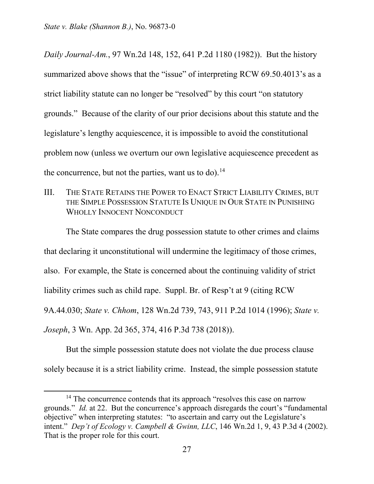$\overline{a}$ 

*Daily Journal-Am.*, 97 Wn.2d 148, 152, 641 P.2d 1180 (1982)).But the history summarized above shows that the "issue" of interpreting RCW 69.50.4013's as a strict liability statute can no longer be "resolved" by this court "on statutory grounds." Because of the clarity of our prior decisions about this statute and the legislature's lengthy acquiescence, it is impossible to avoid the constitutional problem now (unless we overturn our own legislative acquiescence precedent as the concurrence, but not the parties, want us to do).<sup>14</sup>

III. THE STATE RETAINS THE POWER TO ENACT STRICT LIABILITY CRIMES, BUT THE SIMPLE POSSESSION STATUTE IS UNIQUE IN OUR STATE IN PUNISHING WHOLLY INNOCENT NONCONDUCT

The State compares the drug possession statute to other crimes and claims that declaring it unconstitutional will undermine the legitimacy of those crimes, also. For example, the State is concerned about the continuing validity of strict liability crimes such as child rape. Suppl. Br. of Resp't at 9 (citing RCW 9A.44.030; *State v. Chhom*, 128 Wn.2d 739, 743, 911 P.2d 1014 (1996); *State v. Joseph*, 3 Wn. App. 2d 365, 374, 416 P.3d 738 (2018)).

But the simple possession statute does not violate the due process clause solely because it is a strict liability crime. Instead, the simple possession statute

<span id="page-26-0"></span><sup>&</sup>lt;sup>14</sup> The concurrence contends that its approach "resolves this case on narrow grounds." *Id.* at 22. But the concurrence's approach disregards the court's "fundamental objective" when interpreting statutes: "to ascertain and carry out the Legislature's intent." *Dep't of Ecology v. Campbell & Gwinn, LLC*, 146 Wn.2d 1, 9, 43 P.3d 4 (2002). That is the proper role for this court.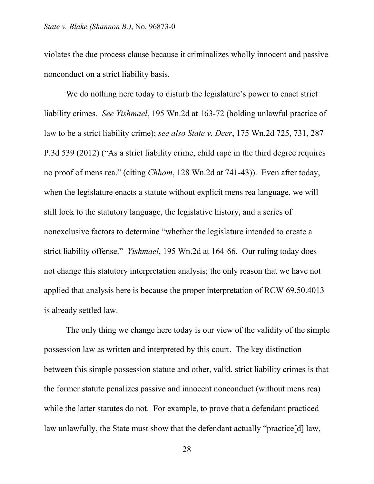violates the due process clause because it criminalizes wholly innocent and passive nonconduct on a strict liability basis.

We do nothing here today to disturb the legislature's power to enact strict liability crimes. *See Yishmael*, 195 Wn.2d at 163-72 (holding unlawful practice of law to be a strict liability crime); *see also State v. Deer*, 175 Wn.2d 725, 731, 287 P.3d 539 (2012) ("As a strict liability crime, child rape in the third degree requires no proof of mens rea." (citing *Chhom*, 128 Wn.2d at 741-43)). Even after today, when the legislature enacts a statute without explicit mens rea language, we will still look to the statutory language, the legislative history, and a series of nonexclusive factors to determine "whether the legislature intended to create a strict liability offense." *Yishmael*, 195 Wn.2d at 164-66. Our ruling today does not change this statutory interpretation analysis; the only reason that we have not applied that analysis here is because the proper interpretation of RCW 69.50.4013 is already settled law.

The only thing we change here today is our view of the validity of the simple possession law as written and interpreted by this court. The key distinction between this simple possession statute and other, valid, strict liability crimes is that the former statute penalizes passive and innocent nonconduct (without mens rea) while the latter statutes do not. For example, to prove that a defendant practiced law unlawfully, the State must show that the defendant actually "practice[d] law,

28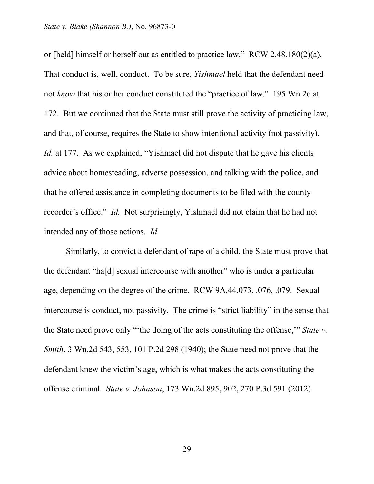or [held] himself or herself out as entitled to practice law." RCW 2.48.180(2)(a). That conduct is, well, conduct. To be sure, *Yishmael* held that the defendant need not *know* that his or her conduct constituted the "practice of law." 195 Wn.2d at 172. But we continued that the State must still prove the activity of practicing law, and that, of course, requires the State to show intentional activity (not passivity). *Id.* at 177. As we explained, "Yishmael did not dispute that he gave his clients advice about homesteading, adverse possession, and talking with the police, and that he offered assistance in completing documents to be filed with the county recorder's office." *Id.* Not surprisingly, Yishmael did not claim that he had not intended any of those actions. *Id.*

Similarly, to convict a defendant of rape of a child, the State must prove that the defendant "ha[d] sexual intercourse with another" who is under a particular age, depending on the degree of the crime. RCW 9A.44.073, .076, .079. Sexual intercourse is conduct, not passivity. The crime is "strict liability" in the sense that the State need prove only "'the doing of the acts constituting the offense,'" *State v. Smith*, 3 Wn.2d 543, 553, 101 P.2d 298 (1940); the State need not prove that the defendant knew the victim's age, which is what makes the acts constituting the offense criminal. *State v. Johnson*, 173 Wn.2d 895, 902, 270 P.3d 591 (2012)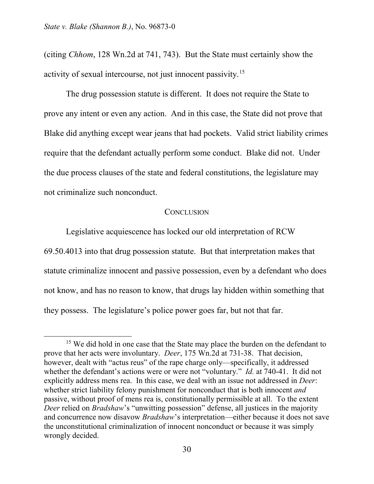(citing *Chhom*, 128 Wn.2d at 741, 743). But the State must certainly show the activity of sexual intercourse, not just innocent passivity.[15](#page-29-0) 

The drug possession statute is different. It does not require the State to prove any intent or even any action. And in this case, the State did not prove that Blake did anything except wear jeans that had pockets. Valid strict liability crimes require that the defendant actually perform some conduct. Blake did not. Under the due process clauses of the state and federal constitutions, the legislature may not criminalize such nonconduct.

#### **CONCLUSION**

Legislative acquiescence has locked our old interpretation of RCW

69.50.4013 into that drug possession statute. But that interpretation makes that statute criminalize innocent and passive possession, even by a defendant who does not know, and has no reason to know, that drugs lay hidden within something that they possess. The legislature's police power goes far, but not that far.

<span id="page-29-0"></span><sup>&</sup>lt;sup>15</sup> We did hold in one case that the State may place the burden on the defendant to prove that her acts were involuntary. *Deer*, 175 Wn.2d at 731-38. That decision, however, dealt with "actus reus" of the rape charge only—specifically, it addressed whether the defendant's actions were or were not "voluntary." *Id.* at 740-41. It did not explicitly address mens rea. In this case, we deal with an issue not addressed in *Deer*: whether strict liability felony punishment for nonconduct that is both innocent *and* passive, without proof of mens rea is, constitutionally permissible at all. To the extent *Deer* relied on *Bradshaw*'s "unwitting possession" defense, all justices in the majority and concurrence now disavow *Bradshaw*'s interpretation—either because it does not save the unconstitutional criminalization of innocent nonconduct or because it was simply wrongly decided.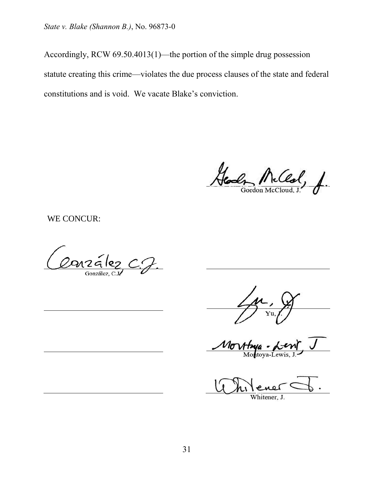Accordingly, RCW 69.50.4013(1)—the portion of the simple drug possession statute creating this crime—violates the due process clauses of the state and federal constitutions and is void. We vacate Blake's conviction.

McCeal, f. Gordon McClou

WE CONCUR:

Conzález C.J.

 $\nu_{\sigma}$ 

Whitener. J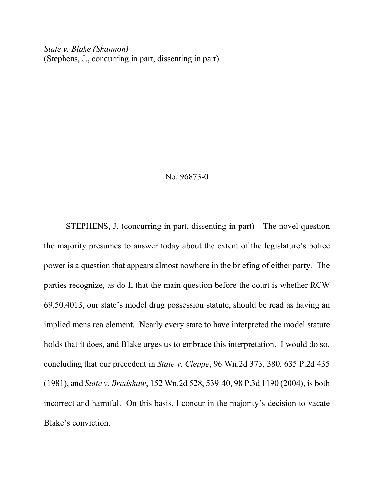#### No. 96873-0

STEPHENS, J. (concurring in part, dissenting in part)—The novel question the majority presumes to answer today about the extent of the legislature's police power is a question that appears almost nowhere in the briefing of either party. The parties recognize, as do I, that the main question before the court is whether RCW 69.50.4013, our state's model drug possession statute, should be read as having an implied mens rea element. Nearly every state to have interpreted the model statute holds that it does, and Blake urges us to embrace this interpretation. I would do so, concluding that our precedent in *State v. Cleppe*, 96 Wn.2d 373, 380, 635 P.2d 435 (1981), and *State v. Bradshaw*, 152 Wn.2d 528, 539-40, 98 P.3d 1190 (2004), is both incorrect and harmful. On this basis, I concur in the majority's decision to vacate Blake's conviction.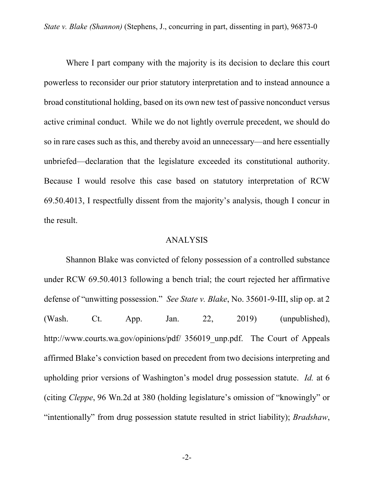Where I part company with the majority is its decision to declare this court powerless to reconsider our prior statutory interpretation and to instead announce a broad constitutional holding, based on its own new test of passive nonconduct versus active criminal conduct. While we do not lightly overrule precedent, we should do so in rare cases such as this, and thereby avoid an unnecessary—and here essentially unbriefed—declaration that the legislature exceeded its constitutional authority. Because I would resolve this case based on statutory interpretation of RCW 69.50.4013, I respectfully dissent from the majority's analysis, though I concur in the result.

#### ANALYSIS

Shannon Blake was convicted of felony possession of a controlled substance under RCW 69.50.4013 following a bench trial; the court rejected her affirmative defense of "unwitting possession." *See State v. Blake*, No. 35601-9-III, slip op. at 2 (Wash. Ct. App. Jan. 22, 2019) (unpublished), http://www.courts.wa.gov/opinions/pdf/ 356019 unp.pdf. The Court of Appeals affirmed Blake's conviction based on precedent from two decisions interpreting and upholding prior versions of Washington's model drug possession statute. *Id.* at 6 (citing *Cleppe*, 96 Wn.2d at 380 (holding legislature's omission of "knowingly" or "intentionally" from drug possession statute resulted in strict liability); *Bradshaw*,

-2-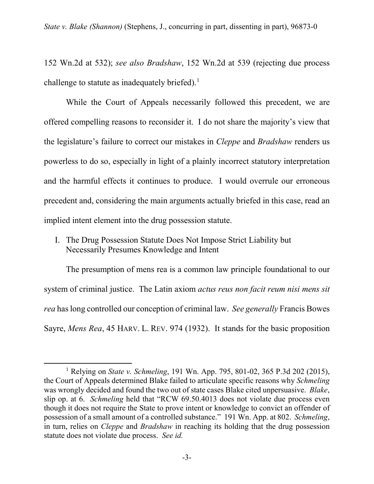152 Wn.2d at 532); *see also Bradshaw*, 152 Wn.2d at 539 (rejecting due process challenge to statute as inadequately briefed).<sup>[1](#page-33-0)</sup>

While the Court of Appeals necessarily followed this precedent, we are offered compelling reasons to reconsider it. I do not share the majority's view that the legislature's failure to correct our mistakes in *Cleppe* and *Bradshaw* renders us powerless to do so, especially in light of a plainly incorrect statutory interpretation and the harmful effects it continues to produce. I would overrule our erroneous precedent and, considering the main arguments actually briefed in this case, read an implied intent element into the drug possession statute.

I. The Drug Possession Statute Does Not Impose Strict Liability but Necessarily Presumes Knowledge and Intent

The presumption of mens rea is a common law principle foundational to our system of criminal justice. The Latin axiom *actus reus non facit reum nisi mens sit rea* has long controlled our conception of criminal law. *See generally* Francis Bowes Sayre, *Mens Rea*, 45 HARV. L. REV. 974 (1932). It stands for the basic proposition

<span id="page-33-0"></span><sup>1</sup> Relying on *State v. Schmeling*, 191 Wn. App. 795, 801-02, 365 P.3d 202 (2015), the Court of Appeals determined Blake failed to articulate specific reasons why *Schmeling* was wrongly decided and found the two out of state cases Blake cited unpersuasive. *Blake*, slip op. at 6. *Schmeling* held that "RCW 69.50.4013 does not violate due process even though it does not require the State to prove intent or knowledge to convict an offender of possession of a small amount of a controlled substance." 191 Wn. App. at 802. *Schmeling*, in turn, relies on *Cleppe* and *Bradshaw* in reaching its holding that the drug possession statute does not violate due process. *See id.*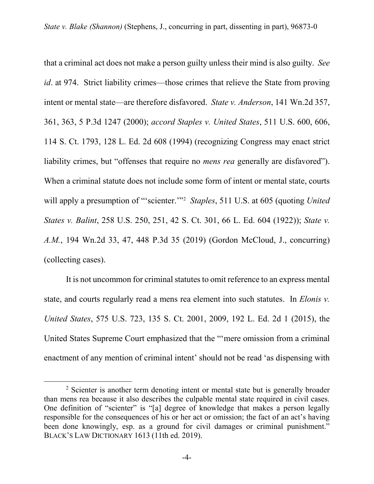that a criminal act does not make a person guilty unless their mind is also guilty. *See id*. at 974. Strict liability crimes—those crimes that relieve the State from proving intent or mental state—are therefore disfavored. *State v. Anderson*, 141 Wn.2d 357, 361, 363, 5 P.3d 1247 (2000); *accord Staples v. United States*, 511 U.S. 600, 606, 114 S. Ct. 1793, 128 L. Ed. 2d 608 (1994) (recognizing Congress may enact strict liability crimes, but "offenses that require no *mens rea* generally are disfavored"). When a criminal statute does not include some form of intent or mental state, courts will apply a presumption of "'scienter.'"[2](#page-34-0) *Staples*, 511 U.S. at 605 (quoting *United States v. Balint*, 258 U.S. 250, 251, 42 S. Ct. 301, 66 L. Ed. 604 (1922)); *State v. A.M.*, 194 Wn.2d 33, 47, 448 P.3d 35 (2019) (Gordon McCloud, J., concurring) (collecting cases).

It is not uncommon for criminal statutes to omit reference to an express mental state, and courts regularly read a mens rea element into such statutes. In *Elonis v. United States*, 575 U.S. 723, 135 S. Ct. 2001, 2009, 192 L. Ed. 2d 1 (2015), the United States Supreme Court emphasized that the "'mere omission from a criminal enactment of any mention of criminal intent' should not be read 'as dispensing with

<span id="page-34-0"></span><sup>&</sup>lt;sup>2</sup> Scienter is another term denoting intent or mental state but is generally broader than mens rea because it also describes the culpable mental state required in civil cases. One definition of "scienter" is "[a] degree of knowledge that makes a person legally responsible for the consequences of his or her act or omission; the fact of an act's having been done knowingly, esp. as a ground for civil damages or criminal punishment." BLACK'S LAW DICTIONARY 1613 (11th ed. 2019).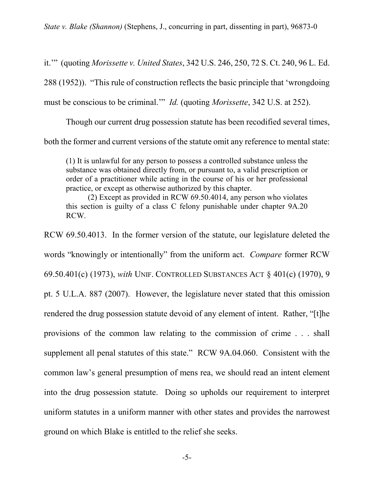it.'" (quoting *Morissette v. United States*, 342 U.S. 246, 250, 72 S. Ct. 240, 96 L. Ed. 288 (1952)). "This rule of construction reflects the basic principle that 'wrongdoing must be conscious to be criminal.'" *Id.* (quoting *Morissette*, 342 U.S. at 252).

Though our current drug possession statute has been recodified several times, both the former and current versions of the statute omit any reference to mental state:

(1) It is unlawful for any person to possess a controlled substance unless the substance was obtained directly from, or pursuant to, a valid prescription or order of a practitioner while acting in the course of his or her professional practice, or except as otherwise authorized by this chapter.

(2) Except as provided in RCW 69.50.4014, any person who violates this section is guilty of a class C felony punishable under chapter 9A.20 RCW.

RCW 69.50.4013. In the former version of the statute, our legislature deleted the words "knowingly or intentionally" from the uniform act. *Compare* former RCW 69.50.401(c) (1973), *with* UNIF. CONTROLLED SUBSTANCES ACT § 401(c) (1970), 9 pt. 5 U.L.A. 887 (2007). However, the legislature never stated that this omission rendered the drug possession statute devoid of any element of intent. Rather, "[t]he provisions of the common law relating to the commission of crime . . . shall supplement all penal statutes of this state." RCW 9A.04.060. Consistent with the common law's general presumption of mens rea, we should read an intent element into the drug possession statute. Doing so upholds our requirement to interpret uniform statutes in a uniform manner with other states and provides the narrowest ground on which Blake is entitled to the relief she seeks.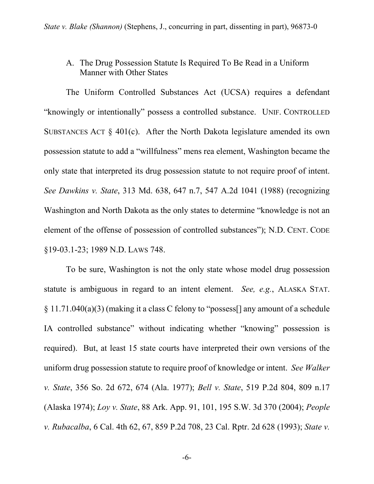# A. The Drug Possession Statute Is Required To Be Read in a Uniform Manner with Other States

The Uniform Controlled Substances Act (UCSA) requires a defendant "knowingly or intentionally" possess a controlled substance. UNIF. CONTROLLED SUBSTANCES ACT § 401(c). After the North Dakota legislature amended its own possession statute to add a "willfulness" mens rea element, Washington became the only state that interpreted its drug possession statute to not require proof of intent. *See Dawkins v. State*, 313 Md. 638, 647 n.7, 547 A.2d 1041 (1988) (recognizing Washington and North Dakota as the only states to determine "knowledge is not an element of the offense of possession of controlled substances"); N.D. CENT. CODE §19-03.1-23; 1989 N.D. LAWS 748.

To be sure, Washington is not the only state whose model drug possession statute is ambiguous in regard to an intent element. *See, e.g.*, ALASKA STAT. § 11.71.040(a)(3) (making it a class C felony to "possess[] any amount of a schedule IA controlled substance" without indicating whether "knowing" possession is required). But, at least 15 state courts have interpreted their own versions of the uniform drug possession statute to require proof of knowledge or intent. *See Walker v. State*, 356 So. 2d 672, 674 (Ala. 1977); *Bell v. State*, 519 P.2d 804, 809 n.17 (Alaska 1974); *Loy v. State*, 88 Ark. App. 91, 101, 195 S.W. 3d 370 (2004); *People v. Rubacalba*, 6 Cal. 4th 62, 67, 859 P.2d 708, 23 Cal. Rptr. 2d 628 (1993); *State v.*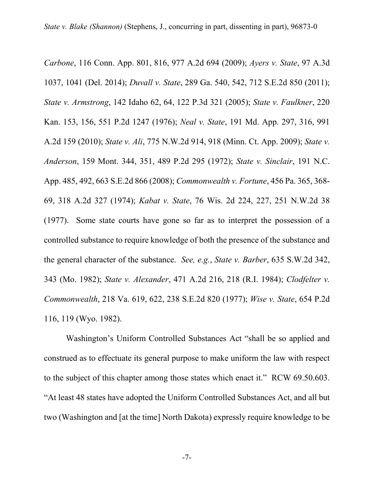*Carbone*, 116 Conn. App. 801, 816, 977 A.2d 694 (2009); *Ayers v. State*, 97 A.3d 1037, 1041 (Del. 2014); *Duvall v. State*, 289 Ga. 540, 542, 712 S.E.2d 850 (2011); *State v. Armstrong*, 142 Idaho 62, 64, 122 P.3d 321 (2005); *State v. Faulkner*, 220 Kan. 153, 156, 551 P.2d 1247 (1976); *Neal v. State*, 191 Md. App. 297, 316, 991 A.2d 159 (2010); *State v. Ali*, 775 N.W.2d 914, 918 (Minn. Ct. App. 2009); *State v. Anderson*, 159 Mont. 344, 351, 489 P.2d 295 (1972); *State v. Sinclair*, 191 N.C. App. 485, 492, 663 S.E.2d 866 (2008); *Commonwealth v. Fortune*, 456 Pa. 365, 368- 69, 318 A.2d 327 (1974); *Kabat v. State*, 76 Wis. 2d 224, 227, 251 N.W.2d 38 (1977). Some state courts have gone so far as to interpret the possession of a controlled substance to require knowledge of both the presence of the substance and the general character of the substance. *See, e.g.*, *State v. Barber*, 635 S.W.2d 342, 343 (Mo. 1982); *State v. Alexander*, 471 A.2d 216, 218 (R.I. 1984); *Clodfelter v. Commonwealth*, 218 Va. 619, 622, 238 S.E.2d 820 (1977); *Wise v. State*, 654 P.2d 116, 119 (Wyo. 1982).

Washington's Uniform Controlled Substances Act "shall be so applied and construed as to effectuate its general purpose to make uniform the law with respect to the subject of this chapter among those states which enact it." RCW 69.50.603. "At least 48 states have adopted the Uniform Controlled Substances Act, and all but two (Washington and [at the time] North Dakota) expressly require knowledge to be

-7-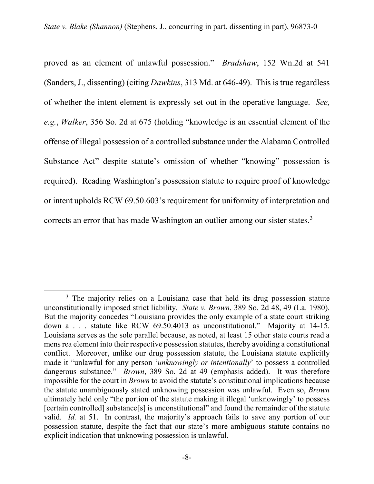proved as an element of unlawful possession." *Bradshaw*, 152 Wn.2d at 541 (Sanders, J., dissenting) (citing *Dawkins*, 313 Md. at 646-49). This is true regardless of whether the intent element is expressly set out in the operative language. *See, e.g.*, *Walker*, 356 So. 2d at 675 (holding "knowledge is an essential element of the offense of illegal possession of a controlled substance under the Alabama Controlled Substance Act" despite statute's omission of whether "knowing" possession is required). Reading Washington's possession statute to require proof of knowledge or intent upholds RCW 69.50.603's requirement for uniformity of interpretation and corrects an error that has made Washington an outlier among our sister states.<sup>[3](#page-38-0)</sup>

<span id="page-38-0"></span> $3$  The majority relies on a Louisiana case that held its drug possession statute unconstitutionally imposed strict liability. *State v. Brown*, 389 So. 2d 48, 49 (La. 1980). But the majority concedes "Louisiana provides the only example of a state court striking down a . . . statute like RCW 69.50.4013 as unconstitutional." Majority at 14-15. Louisiana serves as the sole parallel because, as noted, at least 15 other state courts read a mens rea element into their respective possession statutes, thereby avoiding a constitutional conflict. Moreover, unlike our drug possession statute, the Louisiana statute explicitly made it "unlawful for any person '*unknowingly or intentionally*' to possess a controlled dangerous substance." *Brown*, 389 So. 2d at 49 (emphasis added). It was therefore impossible for the court in *Brown* to avoid the statute's constitutional implications because the statute unambiguously stated unknowing possession was unlawful. Even so, *Brown* ultimately held only "the portion of the statute making it illegal 'unknowingly' to possess [certain controlled] substance[s] is unconstitutional" and found the remainder of the statute valid. *Id.* at 51. In contrast, the majority's approach fails to save any portion of our possession statute, despite the fact that our state's more ambiguous statute contains no explicit indication that unknowing possession is unlawful.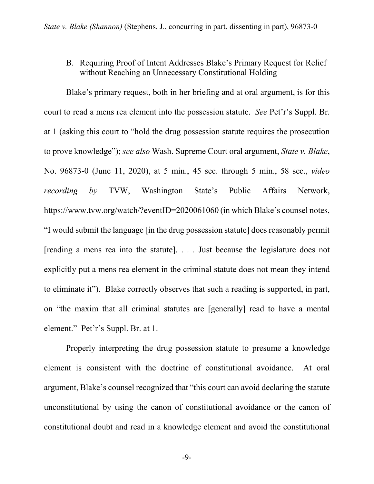## B. Requiring Proof of Intent Addresses Blake's Primary Request for Relief without Reaching an Unnecessary Constitutional Holding

Blake's primary request, both in her briefing and at oral argument, is for this court to read a mens rea element into the possession statute. *See* Pet'r's Suppl. Br. at 1 (asking this court to "hold the drug possession statute requires the prosecution to prove knowledge"); *see also* Wash. Supreme Court oral argument, *State v. Blake*, No. 96873-0 (June 11, 2020), at 5 min., 45 sec. through 5 min., 58 sec., *video recording by* TVW, Washington State's Public Affairs Network, https://www.tvw.org/watch/?eventID=2020061060 (in which Blake's counsel notes, "I would submit the language [in the drug possession statute] does reasonably permit [reading a mens rea into the statute]. . . . Just because the legislature does not explicitly put a mens rea element in the criminal statute does not mean they intend to eliminate it"). Blake correctly observes that such a reading is supported, in part, on "the maxim that all criminal statutes are [generally] read to have a mental element." Pet'r's Suppl. Br. at 1.

Properly interpreting the drug possession statute to presume a knowledge element is consistent with the doctrine of constitutional avoidance. At oral argument, Blake's counsel recognized that "this court can avoid declaring the statute unconstitutional by using the canon of constitutional avoidance or the canon of constitutional doubt and read in a knowledge element and avoid the constitutional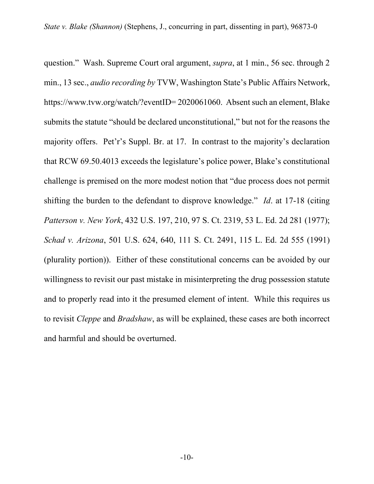question." Wash. Supreme Court oral argument, *supra*, at 1 min., 56 sec. through 2 min., 13 sec., *audio recording by* TVW, Washington State's Public Affairs Network, https://www.tvw.org/watch/?eventID= 2020061060. Absent such an element, Blake submits the statute "should be declared unconstitutional," but not for the reasons the majority offers. Pet'r's Suppl. Br. at 17. In contrast to the majority's declaration that RCW 69.50.4013 exceeds the legislature's police power, Blake's constitutional challenge is premised on the more modest notion that "due process does not permit shifting the burden to the defendant to disprove knowledge." *Id*. at 17-18 (citing *Patterson v. New York*, 432 U.S. 197, 210, 97 S. Ct. 2319, 53 L. Ed. 2d 281 (1977); *Schad v. Arizona*, 501 U.S. 624, 640, 111 S. Ct. 2491, 115 L. Ed. 2d 555 (1991) (plurality portion)). Either of these constitutional concerns can be avoided by our willingness to revisit our past mistake in misinterpreting the drug possession statute and to properly read into it the presumed element of intent. While this requires us to revisit *Cleppe* and *Bradshaw*, as will be explained, these cases are both incorrect and harmful and should be overturned.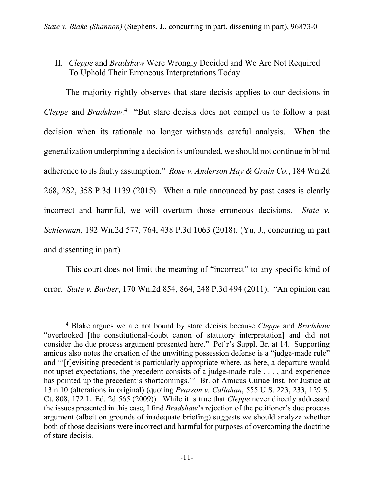# II. *Cleppe* and *Bradshaw* Were Wrongly Decided and We Are Not Required To Uphold Their Erroneous Interpretations Today

The majority rightly observes that stare decisis applies to our decisions in *Cleppe* and *Bradshaw*. [4](#page-41-0) "But stare decisis does not compel us to follow a past decision when its rationale no longer withstands careful analysis. When the generalization underpinning a decision is unfounded, we should not continue in blind adherence to its faulty assumption." *Rose v. Anderson Hay & Grain Co.*, 184 Wn.2d 268, 282, 358 P.3d 1139 (2015). When a rule announced by past cases is clearly incorrect and harmful, we will overturn those erroneous decisions. *State v. Schierman*, 192 Wn.2d 577, 764, 438 P.3d 1063 (2018). (Yu, J., concurring in part and dissenting in part)

This court does not limit the meaning of "incorrect" to any specific kind of error. *State v. Barber*, 170 Wn.2d 854, 864, 248 P.3d 494 (2011). "An opinion can

<span id="page-41-0"></span><sup>4</sup> Blake argues we are not bound by stare decisis because *Cleppe* and *Bradshaw* "overlooked [the constitutional-doubt canon of statutory interpretation] and did not consider the due process argument presented here." Pet'r's Suppl. Br. at 14. Supporting amicus also notes the creation of the unwitting possession defense is a "judge-made rule" and "'[r]evisiting precedent is particularly appropriate where, as here, a departure would not upset expectations, the precedent consists of a judge-made rule . . . , and experience has pointed up the precedent's shortcomings."' Br. of Amicus Curiae Inst. for Justice at 13 n.10 (alterations in original) (quoting *Pearson v. Callahan*, 555 U.S. 223, 233, 129 S. Ct. 808, 172 L. Ed. 2d 565 (2009)). While it is true that *Cleppe* never directly addressed the issues presented in this case, I find *Bradshaw*'s rejection of the petitioner's due process argument (albeit on grounds of inadequate briefing) suggests we should analyze whether both of those decisions were incorrect and harmful for purposes of overcoming the doctrine of stare decisis.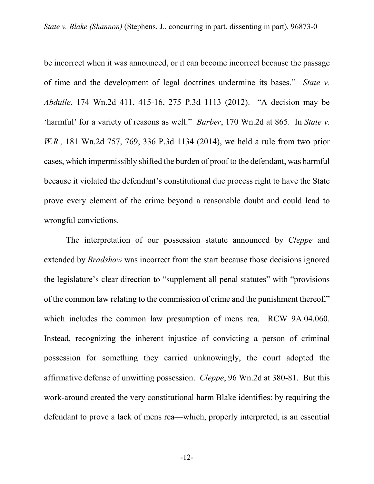be incorrect when it was announced, or it can become incorrect because the passage of time and the development of legal doctrines undermine its bases." *State v. Abdulle*, 174 Wn.2d 411, 415-16, 275 P.3d 1113 (2012). "A decision may be 'harmful' for a variety of reasons as well." *Barber*, 170 Wn.2d at 865. In *State v. W.R.,* 181 Wn.2d 757, 769, 336 P.3d 1134 (2014), we held a rule from two prior cases, which impermissibly shifted the burden of proof to the defendant, was harmful because it violated the defendant's constitutional due process right to have the State prove every element of the crime beyond a reasonable doubt and could lead to wrongful convictions.

The interpretation of our possession statute announced by *Cleppe* and extended by *Bradshaw* was incorrect from the start because those decisions ignored the legislature's clear direction to "supplement all penal statutes" with "provisions of the common law relating to the commission of crime and the punishment thereof," which includes the common law presumption of mens rea. RCW 9A.04.060. Instead, recognizing the inherent injustice of convicting a person of criminal possession for something they carried unknowingly, the court adopted the affirmative defense of unwitting possession. *Cleppe*, 96 Wn.2d at 380-81. But this work-around created the very constitutional harm Blake identifies: by requiring the defendant to prove a lack of mens rea—which, properly interpreted, is an essential

-12-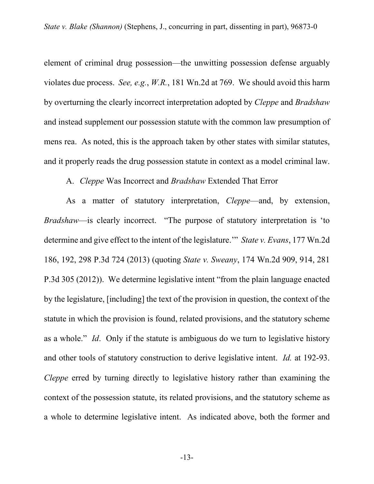element of criminal drug possession—the unwitting possession defense arguably violates due process. *See, e.g.*, *W.R.*, 181 Wn.2d at 769. We should avoid this harm by overturning the clearly incorrect interpretation adopted by *Cleppe* and *Bradshaw* and instead supplement our possession statute with the common law presumption of mens rea. As noted, this is the approach taken by other states with similar statutes, and it properly reads the drug possession statute in context as a model criminal law.

### A. *Cleppe* Was Incorrect and *Bradshaw* Extended That Error

As a matter of statutory interpretation, *Cleppe*—and, by extension, *Bradshaw*—is clearly incorrect. "The purpose of statutory interpretation is 'to determine and give effect to the intent of the legislature.'" *State v. Evans*, 177 Wn.2d 186, 192, 298 P.3d 724 (2013) (quoting *State v. Sweany*, 174 Wn.2d 909, 914, 281 P.3d 305 (2012)). We determine legislative intent "from the plain language enacted by the legislature, [including] the text of the provision in question, the context of the statute in which the provision is found, related provisions, and the statutory scheme as a whole." *Id*. Only if the statute is ambiguous do we turn to legislative history and other tools of statutory construction to derive legislative intent. *Id.* at 192-93. *Cleppe* erred by turning directly to legislative history rather than examining the context of the possession statute, its related provisions, and the statutory scheme as a whole to determine legislative intent. As indicated above, both the former and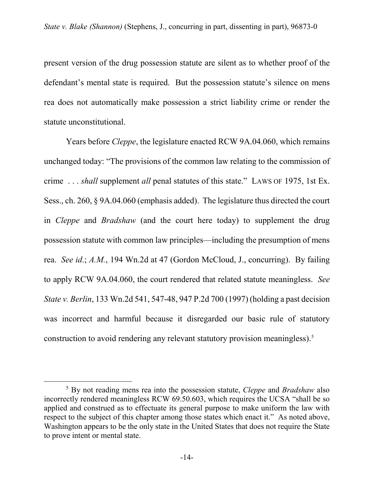present version of the drug possession statute are silent as to whether proof of the defendant's mental state is required. But the possession statute's silence on mens rea does not automatically make possession a strict liability crime or render the statute unconstitutional.

Years before *Cleppe*, the legislature enacted RCW 9A.04.060, which remains unchanged today: "The provisions of the common law relating to the commission of crime . . . *shall* supplement *all* penal statutes of this state." LAWS OF 1975, 1st Ex. Sess., ch. 260, § 9A.04.060 (emphasis added). The legislature thus directed the court in *Cleppe* and *Bradshaw* (and the court here today) to supplement the drug possession statute with common law principles—including the presumption of mens rea. *See id*.; *A.M.*, 194 Wn.2d at 47 (Gordon McCloud, J., concurring). By failing to apply RCW 9A.04.060, the court rendered that related statute meaningless. *See State v. Berlin*, 133 Wn.2d 541, 547-48, 947 P.2d 700 (1997) (holding a past decision was incorrect and harmful because it disregarded our basic rule of statutory construction to avoid rendering any relevant statutory provision meaningless).<sup>[5](#page-44-0)</sup>

<span id="page-44-0"></span><sup>5</sup> By not reading mens rea into the possession statute, *Cleppe* and *Bradshaw* also incorrectly rendered meaningless RCW 69.50.603, which requires the UCSA "shall be so applied and construed as to effectuate its general purpose to make uniform the law with respect to the subject of this chapter among those states which enact it." As noted above, Washington appears to be the only state in the United States that does not require the State to prove intent or mental state.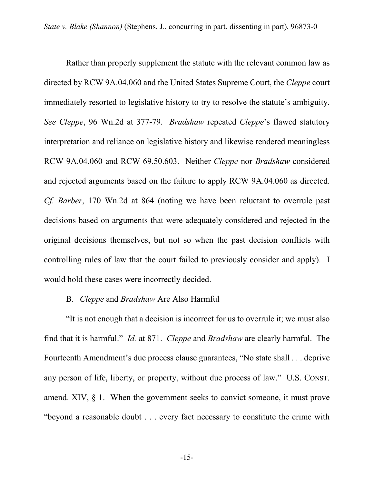Rather than properly supplement the statute with the relevant common law as directed by RCW 9A.04.060 and the United States Supreme Court, the *Cleppe* court immediately resorted to legislative history to try to resolve the statute's ambiguity. *See Cleppe*, 96 Wn.2d at 377-79. *Bradshaw* repeated *Cleppe*'s flawed statutory interpretation and reliance on legislative history and likewise rendered meaningless RCW 9A.04.060 and RCW 69.50.603. Neither *Cleppe* nor *Bradshaw* considered and rejected arguments based on the failure to apply RCW 9A.04.060 as directed. *Cf. Barber*, 170 Wn.2d at 864 (noting we have been reluctant to overrule past decisions based on arguments that were adequately considered and rejected in the original decisions themselves, but not so when the past decision conflicts with controlling rules of law that the court failed to previously consider and apply). I would hold these cases were incorrectly decided.

#### B. *Cleppe* and *Bradshaw* Are Also Harmful

"It is not enough that a decision is incorrect for us to overrule it; we must also find that it is harmful." *Id.* at 871. *Cleppe* and *Bradshaw* are clearly harmful. The Fourteenth Amendment's due process clause guarantees, "No state shall . . . deprive any person of life, liberty, or property, without due process of law." U.S. CONST. amend. XIV,  $\S$  1. When the government seeks to convict someone, it must prove "beyond a reasonable doubt . . . every fact necessary to constitute the crime with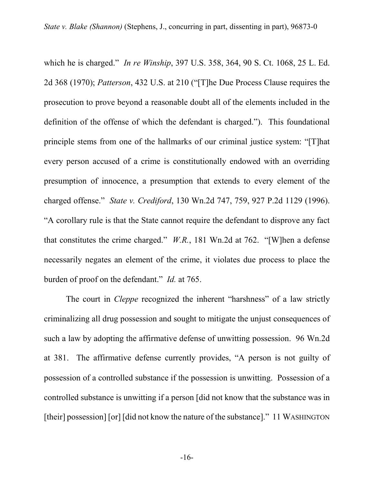which he is charged." *In re Winship*, 397 U.S. 358, 364, 90 S. Ct. 1068, 25 L. Ed. 2d 368 (1970); *Patterson*, 432 U.S. at 210 ("[T]he Due Process Clause requires the prosecution to prove beyond a reasonable doubt all of the elements included in the definition of the offense of which the defendant is charged."). This foundational principle stems from one of the hallmarks of our criminal justice system: "[T]hat every person accused of a crime is constitutionally endowed with an overriding presumption of innocence, a presumption that extends to every element of the charged offense." *State v. Crediford*, 130 Wn.2d 747, 759, 927 P.2d 1129 (1996). "A corollary rule is that the State cannot require the defendant to disprove any fact that constitutes the crime charged." *W.R.*, 181 Wn.2d at 762. "[W]hen a defense necessarily negates an element of the crime, it violates due process to place the burden of proof on the defendant." *Id.* at 765.

The court in *Cleppe* recognized the inherent "harshness" of a law strictly criminalizing all drug possession and sought to mitigate the unjust consequences of such a law by adopting the affirmative defense of unwitting possession.96 Wn.2d at 381.The affirmative defense currently provides, "A person is not guilty of possession of a controlled substance if the possession is unwitting. Possession of a controlled substance is unwitting if a person [did not know that the substance was in [their] possession] [or] [did not know the nature of the substance]." 11 WASHINGTON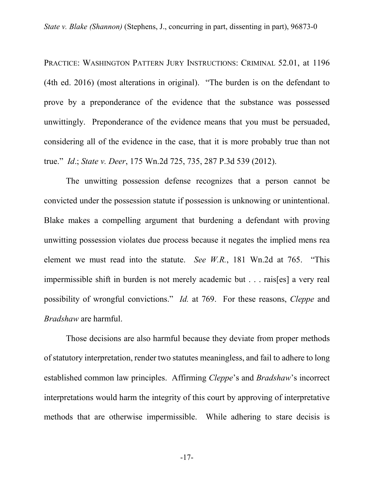PRACTICE: WASHINGTON PATTERN JURY INSTRUCTIONS: CRIMINAL 52.01, at 1196 (4th ed. 2016) (most alterations in original). "The burden is on the defendant to prove by a preponderance of the evidence that the substance was possessed unwittingly. Preponderance of the evidence means that you must be persuaded, considering all of the evidence in the case, that it is more probably true than not true." *Id*.; *State v. Deer*, 175 Wn.2d 725, 735, 287 P.3d 539 (2012).

The unwitting possession defense recognizes that a person cannot be convicted under the possession statute if possession is unknowing or unintentional. Blake makes a compelling argument that burdening a defendant with proving unwitting possession violates due process because it negates the implied mens rea element we must read into the statute. *See W.R.*, 181 Wn.2d at 765. "This impermissible shift in burden is not merely academic but . . . rais[es] a very real possibility of wrongful convictions." *Id.* at 769. For these reasons, *Cleppe* and *Bradshaw* are harmful.

Those decisions are also harmful because they deviate from proper methods of statutory interpretation, render two statutes meaningless, and fail to adhere to long established common law principles. Affirming *Cleppe*'s and *Bradshaw*'s incorrect interpretations would harm the integrity of this court by approving of interpretative methods that are otherwise impermissible. While adhering to stare decisis is

-17-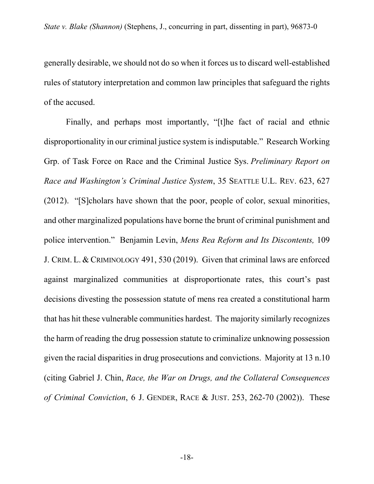generally desirable, we should not do so when it forces us to discard well-established rules of statutory interpretation and common law principles that safeguard the rights of the accused.

Finally, and perhaps most importantly, "[t]he fact of racial and ethnic disproportionality in our criminal justice system is indisputable." Research Working Grp. of Task Force on Race and the Criminal Justice Sys. *Preliminary Report on Race and Washington's Criminal Justice System*, 35 SEATTLE U.L. REV. 623, 627 (2012). "[S]cholars have shown that the poor, people of color, sexual minorities, and other marginalized populations have borne the brunt of criminal punishment and police intervention." Benjamin Levin, *Mens Rea Reform and Its Discontents,* 109 J. CRIM. L. & CRIMINOLOGY 491, 530 (2019). Given that criminal laws are enforced against marginalized communities at disproportionate rates, this court's past decisions divesting the possession statute of mens rea created a constitutional harm that has hit these vulnerable communities hardest. The majority similarly recognizes the harm of reading the drug possession statute to criminalize unknowing possession given the racial disparities in drug prosecutions and convictions. Majority at 13 n.10 (citing Gabriel J. Chin, *Race, the War on Drugs, and the Collateral Consequences of Criminal Conviction*, 6 J. GENDER, RACE & JUST. 253, 262-70 (2002)). These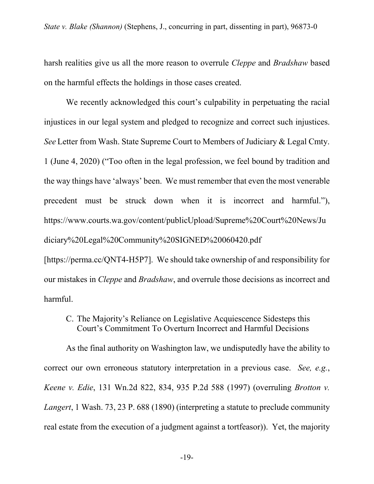harsh realities give us all the more reason to overrule *Cleppe* and *Bradshaw* based on the harmful effects the holdings in those cases created.

We recently acknowledged this court's culpability in perpetuating the racial injustices in our legal system and pledged to recognize and correct such injustices. *See* Letter from Wash. State Supreme Court to Members of Judiciary & Legal Cmty. 1 (June 4, 2020) ("Too often in the legal profession, we feel bound by tradition and the way things have 'always' been. We must remember that even the most venerable precedent must be struck down when it is incorrect and harmful."), https://www.courts.wa.gov/content/publicUpload/Supreme%20Court%20News/Ju diciary%20Legal%20Community%20SIGNED%20060420.pdf

[https://perma.cc/QNT4-H5P7]. We should take ownership of and responsibility for our mistakes in *Cleppe* and *Bradshaw*, and overrule those decisions as incorrect and harmful.

# C. The Majority's Reliance on Legislative Acquiescence Sidesteps this Court's Commitment To Overturn Incorrect and Harmful Decisions

As the final authority on Washington law, we undisputedly have the ability to correct our own erroneous statutory interpretation in a previous case. *See, e.g.*, *Keene v. Edie*, 131 Wn.2d 822, 834, 935 P.2d 588 (1997) (overruling *Brotton v. Langert*, 1 Wash. 73, 23 P. 688 (1890) (interpreting a statute to preclude community real estate from the execution of a judgment against a tortfeasor)). Yet, the majority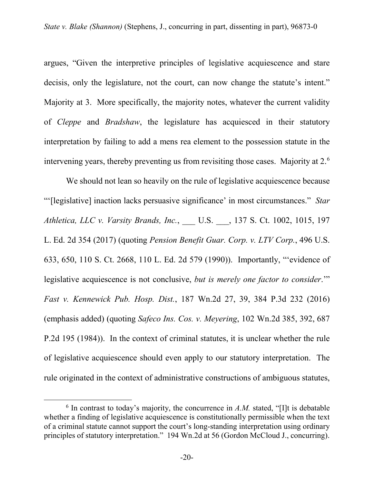argues, "Given the interpretive principles of legislative acquiescence and stare decisis, only the legislature, not the court, can now change the statute's intent." Majority at 3. More specifically, the majority notes, whatever the current validity of *Cleppe* and *Bradshaw*, the legislature has acquiesced in their statutory interpretation by failing to add a mens rea element to the possession statute in the intervening years, thereby preventing us from revisiting those cases. Majority at 2. $^6$  $^6$ 

We should not lean so heavily on the rule of legislative acquiescence because "'[legislative] inaction lacks persuasive significance' in most circumstances." *Star Athletica, LLC v. Varsity Brands, Inc.*, \_\_\_ U.S. \_\_\_, 137 S. Ct. 1002, 1015, 197 L. Ed. 2d 354 (2017) (quoting *Pension Benefit Guar. Corp. v. LTV Corp.*, 496 U.S. 633, 650, 110 S. Ct. 2668, 110 L. Ed. 2d 579 (1990)). Importantly, "'evidence of legislative acquiescence is not conclusive, *but is merely one factor to consider*.'" *Fast v. Kennewick Pub. Hosp. Dist.*, 187 Wn.2d 27, 39, 384 P.3d 232 (2016) (emphasis added) (quoting *Safeco Ins. Cos. v. Meyering*, 102 Wn.2d 385, 392, 687 P.2d 195 (1984)). In the context of criminal statutes, it is unclear whether the rule of legislative acquiescence should even apply to our statutory interpretation. The rule originated in the context of administrative constructions of ambiguous statutes,

<span id="page-50-0"></span> $6$  In contrast to today's majority, the concurrence in  $A.M$ . stated, "[I]t is debatable whether a finding of legislative acquiescence is constitutionally permissible when the text of a criminal statute cannot support the court's long-standing interpretation using ordinary principles of statutory interpretation." 194 Wn.2d at 56 (Gordon McCloud J., concurring).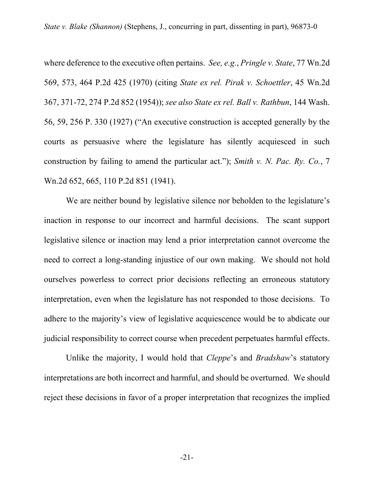where deference to the executive often pertains. *See, e.g.*, *Pringle v. State*, 77 Wn.2d 569, 573, 464 P.2d 425 (1970) (citing *State ex rel. Pirak v. Schoettler*, 45 Wn.2d 367, 371-72, 274 P.2d 852 (1954)); *see also State ex rel. Ball v. Rathbun*, 144 Wash. 56, 59, 256 P. 330 (1927) ("An executive construction is accepted generally by the courts as persuasive where the legislature has silently acquiesced in such construction by failing to amend the particular act."); *Smith v. N. Pac. Ry. Co.*, 7 Wn.2d 652, 665, 110 P.2d 851 (1941).

We are neither bound by legislative silence nor beholden to the legislature's inaction in response to our incorrect and harmful decisions. The scant support legislative silence or inaction may lend a prior interpretation cannot overcome the need to correct a long-standing injustice of our own making. We should not hold ourselves powerless to correct prior decisions reflecting an erroneous statutory interpretation, even when the legislature has not responded to those decisions. To adhere to the majority's view of legislative acquiescence would be to abdicate our judicial responsibility to correct course when precedent perpetuates harmful effects.

Unlike the majority, I would hold that *Cleppe*'s and *Bradshaw*'s statutory interpretations are both incorrect and harmful, and should be overturned. We should reject these decisions in favor of a proper interpretation that recognizes the implied

-21-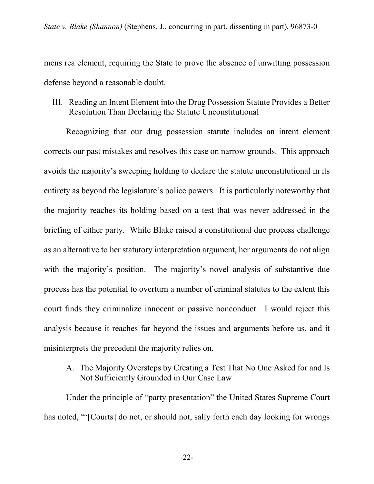mens rea element, requiring the State to prove the absence of unwitting possession defense beyond a reasonable doubt.

III. Reading an Intent Element into the Drug Possession Statute Provides a Better Resolution Than Declaring the Statute Unconstitutional

Recognizing that our drug possession statute includes an intent element corrects our past mistakes and resolves this case on narrow grounds. This approach avoids the majority's sweeping holding to declare the statute unconstitutional in its entirety as beyond the legislature's police powers. It is particularly noteworthy that the majority reaches its holding based on a test that was never addressed in the briefing of either party. While Blake raised a constitutional due process challenge as an alternative to her statutory interpretation argument, her arguments do not align with the majority's position. The majority's novel analysis of substantive due process has the potential to overturn a number of criminal statutes to the extent this court finds they criminalize innocent or passive nonconduct. I would reject this analysis because it reaches far beyond the issues and arguments before us, and it misinterprets the precedent the majority relies on.

A. The Majority Oversteps by Creating a Test That No One Asked for and Is Not Sufficiently Grounded in Our Case Law

Under the principle of "party presentation" the United States Supreme Court has noted, "'[Courts] do not, or should not, sally forth each day looking for wrongs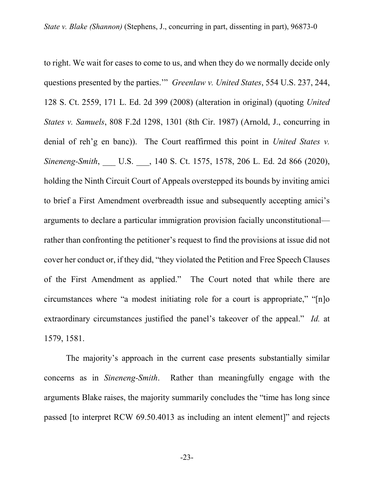to right. We wait for cases to come to us, and when they do we normally decide only questions presented by the parties.'" *Greenlaw v. United States*, 554 U.S. 237, 244, 128 S. Ct. 2559, 171 L. Ed. 2d 399 (2008) (alteration in original) (quoting *United States v. Samuels*, 808 F.2d 1298, 1301 (8th Cir. 1987) (Arnold, J., concurring in denial of reh'g en banc)). The Court reaffirmed this point in *United States v. Sineneng-Smith*, \_\_\_ U.S. \_\_\_, 140 S. Ct. 1575, 1578, 206 L. Ed. 2d 866 (2020), holding the Ninth Circuit Court of Appeals overstepped its bounds by inviting amici to brief a First Amendment overbreadth issue and subsequently accepting amici's arguments to declare a particular immigration provision facially unconstitutional rather than confronting the petitioner's request to find the provisions at issue did not cover her conduct or, if they did, "they violated the Petition and Free Speech Clauses of the First Amendment as applied." The Court noted that while there are circumstances where "a modest initiating role for a court is appropriate," "[n]o extraordinary circumstances justified the panel's takeover of the appeal." *Id.* at 1579, 1581.

The majority's approach in the current case presents substantially similar concerns as in *Sineneng-Smith*. Rather than meaningfully engage with the arguments Blake raises, the majority summarily concludes the "time has long since passed [to interpret RCW 69.50.4013 as including an intent element]" and rejects

-23-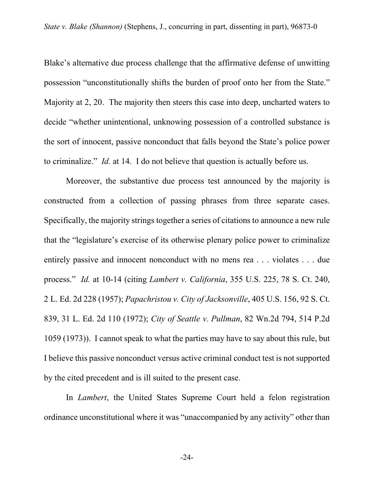Blake's alternative due process challenge that the affirmative defense of unwitting possession "unconstitutionally shifts the burden of proof onto her from the State." Majority at 2, 20. The majority then steers this case into deep, uncharted waters to decide "whether unintentional, unknowing possession of a controlled substance is the sort of innocent, passive nonconduct that falls beyond the State's police power to criminalize." *Id.* at 14. I do not believe that question is actually before us.

Moreover, the substantive due process test announced by the majority is constructed from a collection of passing phrases from three separate cases. Specifically, the majority strings together a series of citations to announce a new rule that the "legislature's exercise of its otherwise plenary police power to criminalize entirely passive and innocent nonconduct with no mens rea . . . violates . . . due process." *Id.* at 10-14 (citing *Lambert v. California*, 355 U.S. 225, 78 S. Ct. 240, 2 L. Ed. 2d 228 (1957); *Papachristou v. City of Jacksonville*, 405 U.S. 156, 92 S. Ct. 839, 31 L. Ed. 2d 110 (1972); *City of Seattle v. Pullman*, 82 Wn.2d 794, 514 P.2d 1059 (1973)). I cannot speak to what the parties may have to say about this rule, but I believe this passive nonconduct versus active criminal conduct test is not supported by the cited precedent and is ill suited to the present case.

In *Lambert*, the United States Supreme Court held a felon registration ordinance unconstitutional where it was "unaccompanied by any activity" other than

-24-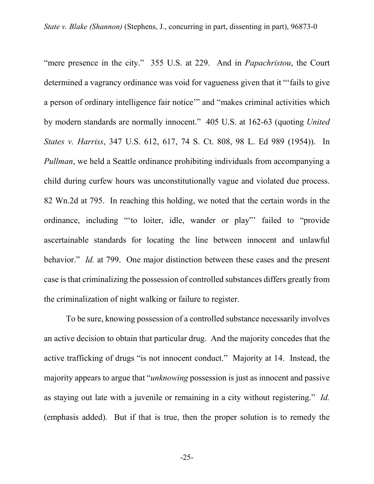"mere presence in the city." 355 U.S. at 229. And in *Papachristou*, the Court determined a vagrancy ordinance was void for vagueness given that it "'fails to give a person of ordinary intelligence fair notice'" and "makes criminal activities which by modern standards are normally innocent." 405 U.S. at 162-63 (quoting *United States v. Harriss*, 347 U.S. 612, 617, 74 S. Ct. 808, 98 L. Ed 989 (1954)). In *Pullman*, we held a Seattle ordinance prohibiting individuals from accompanying a child during curfew hours was unconstitutionally vague and violated due process. 82 Wn.2d at 795. In reaching this holding, we noted that the certain words in the ordinance, including "'to loiter, idle, wander or play"' failed to "provide ascertainable standards for locating the line between innocent and unlawful behavior." *Id.* at 799. One major distinction between these cases and the present case is that criminalizing the possession of controlled substances differs greatly from the criminalization of night walking or failure to register.

To be sure, knowing possession of a controlled substance necessarily involves an active decision to obtain that particular drug. And the majority concedes that the active trafficking of drugs "is not innocent conduct." Majority at 14. Instead, the majority appears to argue that "*unknowing* possession is just as innocent and passive as staying out late with a juvenile or remaining in a city without registering." *Id.*  (emphasis added). But if that is true, then the proper solution is to remedy the

-25-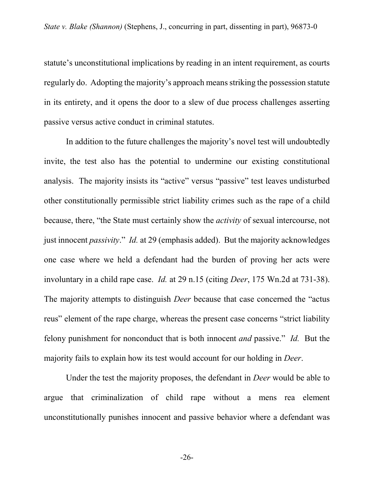statute's unconstitutional implications by reading in an intent requirement, as courts regularly do. Adopting the majority's approach means striking the possession statute in its entirety, and it opens the door to a slew of due process challenges asserting passive versus active conduct in criminal statutes.

In addition to the future challenges the majority's novel test will undoubtedly invite, the test also has the potential to undermine our existing constitutional analysis. The majority insists its "active" versus "passive" test leaves undisturbed other constitutionally permissible strict liability crimes such as the rape of a child because, there, "the State must certainly show the *activity* of sexual intercourse, not just innocent *passivity*." *Id.* at 29 (emphasis added). But the majority acknowledges one case where we held a defendant had the burden of proving her acts were involuntary in a child rape case. *Id.* at 29 n.15 (citing *Deer*, 175 Wn.2d at 731-38). The majority attempts to distinguish *Deer* because that case concerned the "actus reus" element of the rape charge, whereas the present case concerns "strict liability felony punishment for nonconduct that is both innocent *and* passive." *Id.* But the majority fails to explain how its test would account for our holding in *Deer*.

Under the test the majority proposes, the defendant in *Deer* would be able to argue that criminalization of child rape without a mens rea element unconstitutionally punishes innocent and passive behavior where a defendant was

-26-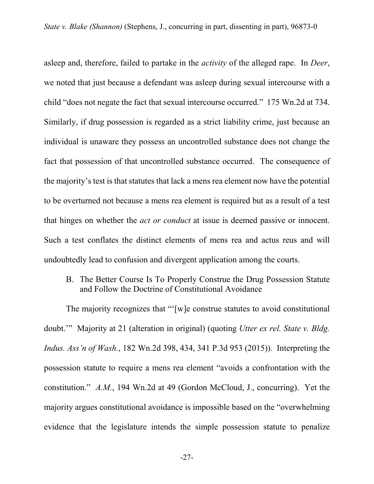asleep and, therefore, failed to partake in the *activity* of the alleged rape. In *Deer*, we noted that just because a defendant was asleep during sexual intercourse with a child "does not negate the fact that sexual intercourse occurred." 175 Wn.2d at 734. Similarly, if drug possession is regarded as a strict liability crime, just because an individual is unaware they possess an uncontrolled substance does not change the fact that possession of that uncontrolled substance occurred. The consequence of the majority's test is that statutes that lack a mens rea element now have the potential to be overturned not because a mens rea element is required but as a result of a test that hinges on whether the *act or conduct* at issue is deemed passive or innocent. Such a test conflates the distinct elements of mens rea and actus reus and will undoubtedly lead to confusion and divergent application among the courts.

B. The Better Course Is To Properly Construe the Drug Possession Statute and Follow the Doctrine of Constitutional Avoidance

The majority recognizes that "'[w]e construe statutes to avoid constitutional doubt.'" Majority at 21 (alteration in original) (quoting *Utter ex rel. State v. Bldg. Indus. Ass'n of Wash.*, 182 Wn.2d 398, 434, 341 P.3d 953 (2015)). Interpreting the possession statute to require a mens rea element "avoids a confrontation with the constitution." *A.M.*, 194 Wn.2d at 49 (Gordon McCloud, J., concurring). Yet the majority argues constitutional avoidance is impossible based on the "overwhelming evidence that the legislature intends the simple possession statute to penalize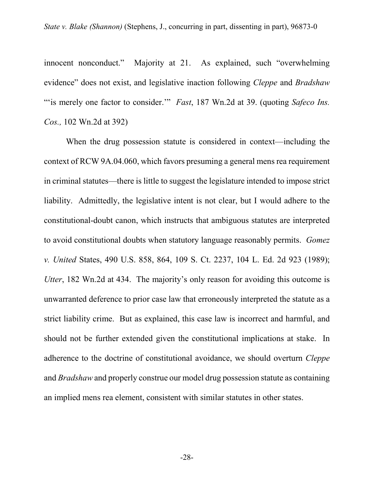innocent nonconduct." Majority at 21. As explained, such "overwhelming evidence" does not exist, and legislative inaction following *Cleppe* and *Bradshaw*  ""is merely one factor to consider."" *Fast*, 187 Wn.2d at 39. (quoting *Safeco Ins. Cos.,* 102 Wn.2d at 392)

When the drug possession statute is considered in context—including the context of RCW 9A.04.060, which favors presuming a general mens rea requirement in criminal statutes—there is little to suggest the legislature intended to impose strict liability. Admittedly, the legislative intent is not clear, but I would adhere to the constitutional-doubt canon, which instructs that ambiguous statutes are interpreted to avoid constitutional doubts when statutory language reasonably permits. *Gomez v. United* States, 490 U.S. 858, 864, 109 S. Ct. 2237, 104 L. Ed. 2d 923 (1989); *Utter*, 182 Wn.2d at 434. The majority's only reason for avoiding this outcome is unwarranted deference to prior case law that erroneously interpreted the statute as a strict liability crime. But as explained, this case law is incorrect and harmful, and should not be further extended given the constitutional implications at stake. In adherence to the doctrine of constitutional avoidance, we should overturn *Cleppe*  and *Bradshaw* and properly construe our model drug possession statute as containing an implied mens rea element, consistent with similar statutes in other states.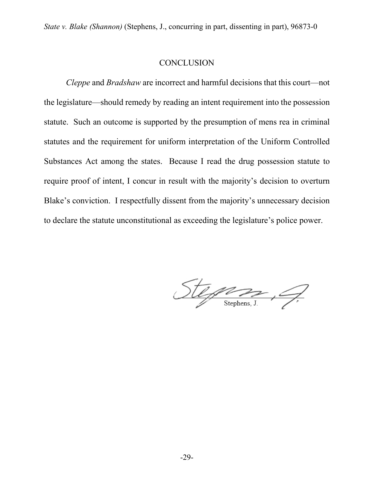### **CONCLUSION**

*Cleppe* and *Bradshaw* are incorrect and harmful decisions that this court—not the legislature—should remedy by reading an intent requirement into the possession statute. Such an outcome is supported by the presumption of mens rea in criminal statutes and the requirement for uniform interpretation of the Uniform Controlled Substances Act among the states. Because I read the drug possession statute to require proof of intent, I concur in result with the majority's decision to overturn Blake's conviction. I respectfully dissent from the majority's unnecessary decision to declare the statute unconstitutional as exceeding the legislature's police power.

 $Stepsz, Q$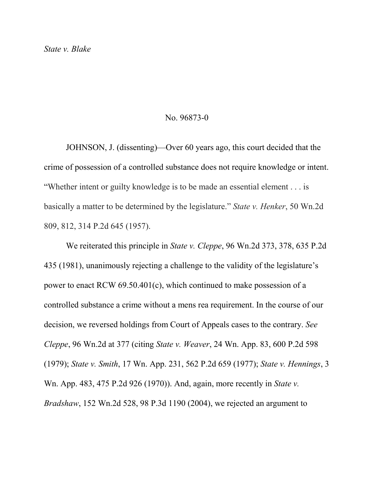#### No. 96873-0

JOHNSON, J. (dissenting)—Over 60 years ago, this court decided that the crime of possession of a controlled substance does not require knowledge or intent. "Whether intent or guilty knowledge is to be made an essential element . . . is basically a matter to be determined by the legislature." *State v. Henker*, 50 Wn.2d 809, 812, 314 P.2d 645 (1957).

We reiterated this principle in *State v. Cleppe*, 96 Wn.2d 373, 378, 635 P.2d 435 (1981), unanimously rejecting a challenge to the validity of the legislature's power to enact RCW 69.50.401(c), which continued to make possession of a controlled substance a crime without a mens rea requirement. In the course of our decision, we reversed holdings from Court of Appeals cases to the contrary. *See Cleppe*, 96 Wn.2d at 377 (citing *State v. Weaver*[, 24 Wn. App. 83, 600 P.2d 598](https://1.next.westlaw.com/Link/Document/FullText?findType=Y&serNum=1979125827&pubNum=661&originatingDoc=Ie047cc15f52f11d9b386b232635db992&refType=RP&originationContext=document&transitionType=DocumentItem&contextData=(sc.UserEnteredCitation))  [\(1979\);](https://1.next.westlaw.com/Link/Document/FullText?findType=Y&serNum=1979125827&pubNum=661&originatingDoc=Ie047cc15f52f11d9b386b232635db992&refType=RP&originationContext=document&transitionType=DocumentItem&contextData=(sc.UserEnteredCitation)) *State v. Smith*[, 17 Wn. App. 231, 562 P.2d 659 \(1977\);](https://1.next.westlaw.com/Link/Document/FullText?findType=Y&serNum=1977112192&pubNum=661&originatingDoc=Ie047cc15f52f11d9b386b232635db992&refType=RP&originationContext=document&transitionType=DocumentItem&contextData=(sc.UserEnteredCitation)) *[State v. Hennings](https://1.next.westlaw.com/Link/Document/FullText?findType=Y&serNum=1970133159&pubNum=661&originatingDoc=Ie047cc15f52f11d9b386b232635db992&refType=RP&originationContext=document&transitionType=DocumentItem&contextData=(sc.UserEnteredCitation))*, 3 [Wn. App. 483, 475 P.2d 926 \(1970\)\)](https://1.next.westlaw.com/Link/Document/FullText?findType=Y&serNum=1970133159&pubNum=661&originatingDoc=Ie047cc15f52f11d9b386b232635db992&refType=RP&originationContext=document&transitionType=DocumentItem&contextData=(sc.UserEnteredCitation)). And, again, more recently in *State v. Bradshaw*, 152 Wn.2d 528, 98 P.3d 1190 (2004), we rejected an argument to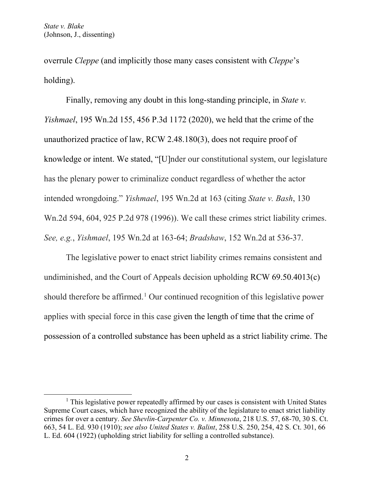overrule *Cleppe* (and implicitly those many cases consistent with *Cleppe*'s holding).

Finally, removing any doubt in this long-standing principle, in *State v. Yishmael*, 195 Wn.2d 155, 456 P.3d 1172 (2020), we held that the crime of the unauthorized practice of law, RCW 2.48.180(3), does not require proof of knowledge or intent. We stated, "[U]nder our constitutional system, our legislature has the plenary power to criminalize conduct regardless of whether the actor intended wrongdoing." *Yishmael*, 195 Wn.2d at 163 (citing *State v. Bash*, 130 Wn.2d 594, 604, 925 P.2d 978 (1996)). We call these crimes strict liability crimes. *See, e.g.*, *Yishmael*, 195 Wn.2d at 163-64; *Bradshaw*, 152 Wn.2d at 536-37.

The legislative power to enact strict liability crimes remains consistent and undiminished, and the Court of Appeals decision upholding RCW 69.50.4013(c) should therefore be affirmed.<sup>[1](#page-61-0)</sup> Our continued recognition of this legislative power applies with special force in this case given the length of time that the crime of possession of a controlled substance has been upheld as a strict liability crime. The

<span id="page-61-0"></span> $<sup>1</sup>$  This legislative power repeatedly affirmed by our cases is consistent with United States</sup> Supreme Court cases, which have recognized the ability of the legislature to enact strict liability crimes for over a century. *See Shevlin-Carpenter Co. v. Minnesota*, 218 U.S. 57, 68-70, 30 S. Ct. 663, 54 L. Ed. 930 (1910); *see also United States v. Balint*, 258 U.S. 250, 254, 42 S. Ct. 301, 66 L. Ed. 604 (1922) (upholding strict liability for selling a controlled substance).